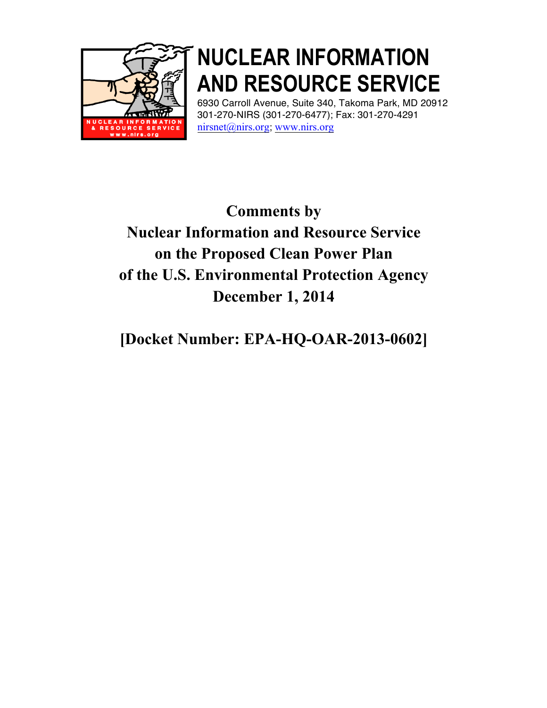

# **NUCLEAR INFORMATION AND RESOURCE SERVICE**

6930 Carroll Avenue, Suite 340, Takoma Park, MD 20912 301-270-NIRS (301-270-6477); Fax: 301-270-4291 nirsnet@nirs.org; www.nirs.org

# **Comments by Nuclear Information and Resource Service on the Proposed Clean Power Plan of the U.S. Environmental Protection Agency December 1, 2014**

# **[Docket Number: EPA-HQ-OAR-2013-0602]**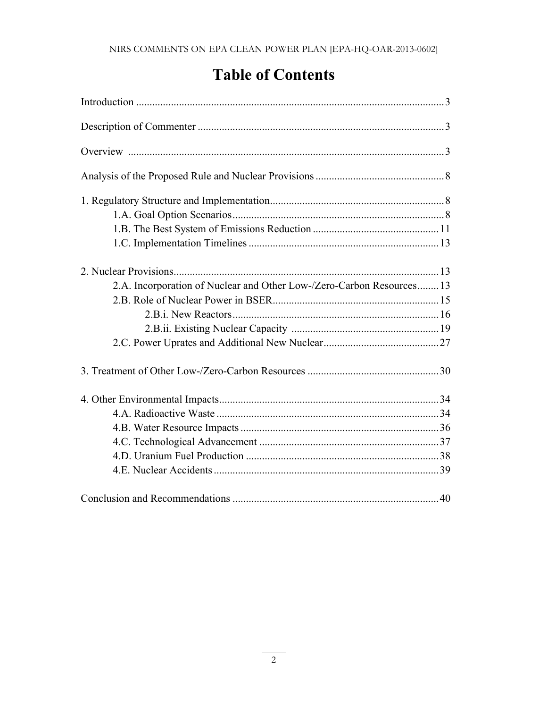# **Table of Contents**

| 2.A. Incorporation of Nuclear and Other Low-/Zero-Carbon Resources 13 |  |
|-----------------------------------------------------------------------|--|
|                                                                       |  |
|                                                                       |  |
|                                                                       |  |
|                                                                       |  |
|                                                                       |  |
|                                                                       |  |
|                                                                       |  |
|                                                                       |  |
|                                                                       |  |
|                                                                       |  |
|                                                                       |  |
|                                                                       |  |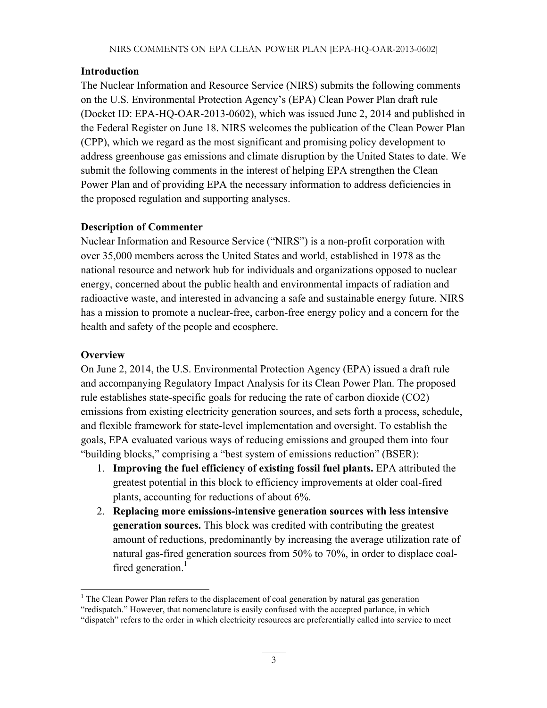#### **Introduction**

The Nuclear Information and Resource Service (NIRS) submits the following comments on the U.S. Environmental Protection Agency's (EPA) Clean Power Plan draft rule (Docket ID: EPA-HQ-OAR-2013-0602), which was issued June 2, 2014 and published in the Federal Register on June 18. NIRS welcomes the publication of the Clean Power Plan (CPP), which we regard as the most significant and promising policy development to address greenhouse gas emissions and climate disruption by the United States to date. We submit the following comments in the interest of helping EPA strengthen the Clean Power Plan and of providing EPA the necessary information to address deficiencies in the proposed regulation and supporting analyses.

#### **Description of Commenter**

Nuclear Information and Resource Service ("NIRS") is a non-profit corporation with over 35,000 members across the United States and world, established in 1978 as the national resource and network hub for individuals and organizations opposed to nuclear energy, concerned about the public health and environmental impacts of radiation and radioactive waste, and interested in advancing a safe and sustainable energy future. NIRS has a mission to promote a nuclear-free, carbon-free energy policy and a concern for the health and safety of the people and ecosphere.

#### **Overview**

On June 2, 2014, the U.S. Environmental Protection Agency (EPA) issued a draft rule and accompanying Regulatory Impact Analysis for its Clean Power Plan. The proposed rule establishes state-specific goals for reducing the rate of carbon dioxide (CO2) emissions from existing electricity generation sources, and sets forth a process, schedule, and flexible framework for state-level implementation and oversight. To establish the goals, EPA evaluated various ways of reducing emissions and grouped them into four "building blocks," comprising a "best system of emissions reduction" (BSER):

- 1. **Improving the fuel efficiency of existing fossil fuel plants.** EPA attributed the greatest potential in this block to efficiency improvements at older coal-fired plants, accounting for reductions of about 6%.
- 2. **Replacing more emissions-intensive generation sources with less intensive generation sources.** This block was credited with contributing the greatest amount of reductions, predominantly by increasing the average utilization rate of natural gas-fired generation sources from 50% to 70%, in order to displace coalfired generation.<sup>1</sup>

<sup>&</sup>lt;sup>1</sup> The Clean Power Plan refers to the displacement of coal generation by natural gas generation

<sup>&</sup>quot;redispatch." However, that nomenclature is easily confused with the accepted parlance, in which

<sup>&</sup>quot;dispatch" refers to the order in which electricity resources are preferentially called into service to meet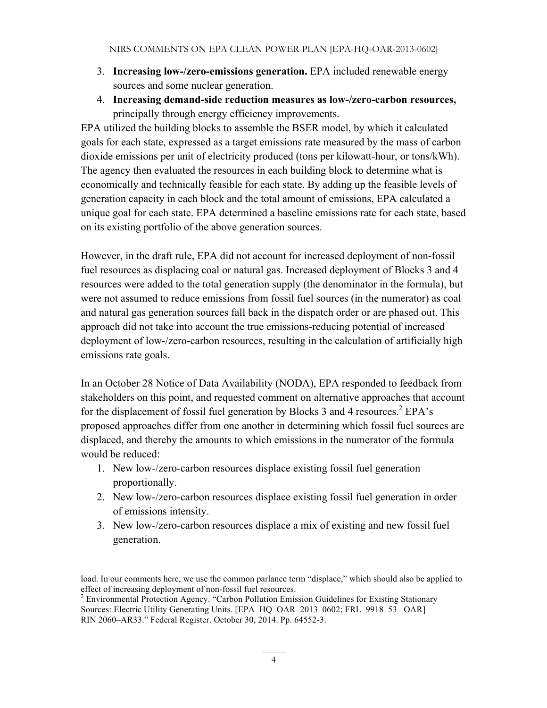- 3. **Increasing low-/zero-emissions generation.** EPA included renewable energy sources and some nuclear generation.
- 4. **Increasing demand-side reduction measures as low-/zero-carbon resources,**  principally through energy efficiency improvements.

EPA utilized the building blocks to assemble the BSER model, by which it calculated goals for each state, expressed as a target emissions rate measured by the mass of carbon dioxide emissions per unit of electricity produced (tons per kilowatt-hour, or tons/kWh). The agency then evaluated the resources in each building block to determine what is economically and technically feasible for each state. By adding up the feasible levels of generation capacity in each block and the total amount of emissions, EPA calculated a unique goal for each state. EPA determined a baseline emissions rate for each state, based on its existing portfolio of the above generation sources.

However, in the draft rule, EPA did not account for increased deployment of non-fossil fuel resources as displacing coal or natural gas. Increased deployment of Blocks 3 and 4 resources were added to the total generation supply (the denominator in the formula), but were not assumed to reduce emissions from fossil fuel sources (in the numerator) as coal and natural gas generation sources fall back in the dispatch order or are phased out. This approach did not take into account the true emissions-reducing potential of increased deployment of low-/zero-carbon resources, resulting in the calculation of artificially high emissions rate goals.

In an October 28 Notice of Data Availability (NODA), EPA responded to feedback from stakeholders on this point, and requested comment on alternative approaches that account for the displacement of fossil fuel generation by Blocks 3 and 4 resources.<sup>2</sup> EPA's proposed approaches differ from one another in determining which fossil fuel sources are displaced, and thereby the amounts to which emissions in the numerator of the formula would be reduced:

- 1. New low-/zero-carbon resources displace existing fossil fuel generation proportionally.
- 2. New low-/zero-carbon resources displace existing fossil fuel generation in order of emissions intensity.
- 3. New low-/zero-carbon resources displace a mix of existing and new fossil fuel generation.

load. In our comments here, we use the common parlance term "displace," which should also be applied to effect of increasing deployment of non-fossil fuel resources. <sup>2</sup> Environmental Protection Agency. "Carbon Pollution Emission Guidelines for Existing Stationary

Sources: Electric Utility Generating Units. [EPA–HQ–OAR–2013–0602; FRL–9918–53– OAR] RIN 2060–AR33." Federal Register. October 30, 2014. Pp. 64552-3.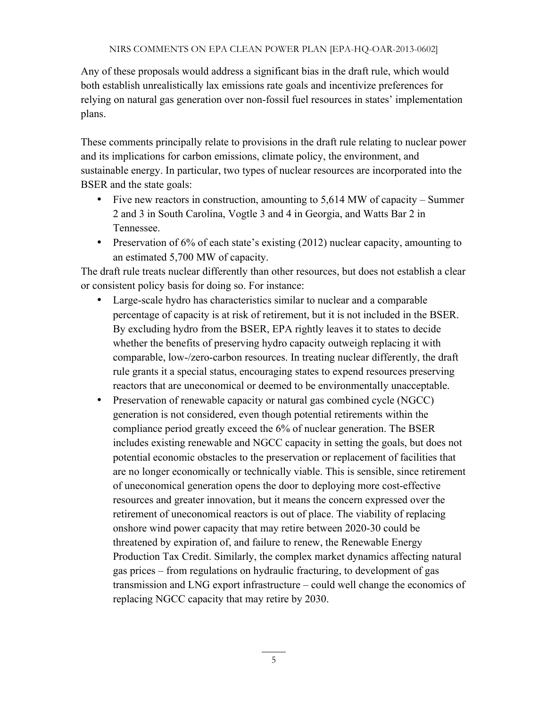Any of these proposals would address a significant bias in the draft rule, which would both establish unrealistically lax emissions rate goals and incentivize preferences for relying on natural gas generation over non-fossil fuel resources in states' implementation plans.

These comments principally relate to provisions in the draft rule relating to nuclear power and its implications for carbon emissions, climate policy, the environment, and sustainable energy. In particular, two types of nuclear resources are incorporated into the BSER and the state goals:

- Five new reactors in construction, amounting to 5,614 MW of capacity Summer 2 and 3 in South Carolina, Vogtle 3 and 4 in Georgia, and Watts Bar 2 in Tennessee.
- Preservation of 6% of each state's existing (2012) nuclear capacity, amounting to an estimated 5,700 MW of capacity.

The draft rule treats nuclear differently than other resources, but does not establish a clear or consistent policy basis for doing so. For instance:

- Large-scale hydro has characteristics similar to nuclear and a comparable percentage of capacity is at risk of retirement, but it is not included in the BSER. By excluding hydro from the BSER, EPA rightly leaves it to states to decide whether the benefits of preserving hydro capacity outweigh replacing it with comparable, low-/zero-carbon resources. In treating nuclear differently, the draft rule grants it a special status, encouraging states to expend resources preserving reactors that are uneconomical or deemed to be environmentally unacceptable.
- Preservation of renewable capacity or natural gas combined cycle (NGCC) generation is not considered, even though potential retirements within the compliance period greatly exceed the 6% of nuclear generation. The BSER includes existing renewable and NGCC capacity in setting the goals, but does not potential economic obstacles to the preservation or replacement of facilities that are no longer economically or technically viable. This is sensible, since retirement of uneconomical generation opens the door to deploying more cost-effective resources and greater innovation, but it means the concern expressed over the retirement of uneconomical reactors is out of place. The viability of replacing onshore wind power capacity that may retire between 2020-30 could be threatened by expiration of, and failure to renew, the Renewable Energy Production Tax Credit. Similarly, the complex market dynamics affecting natural gas prices – from regulations on hydraulic fracturing, to development of gas transmission and LNG export infrastructure – could well change the economics of replacing NGCC capacity that may retire by 2030.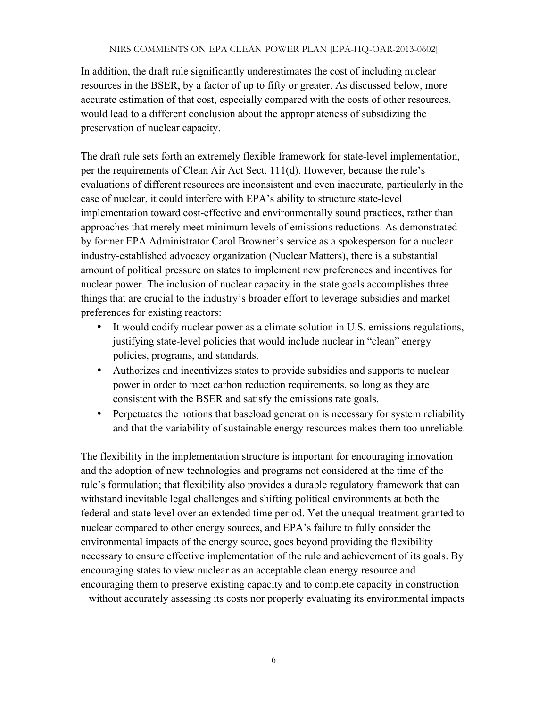In addition, the draft rule significantly underestimates the cost of including nuclear resources in the BSER, by a factor of up to fifty or greater. As discussed below, more accurate estimation of that cost, especially compared with the costs of other resources, would lead to a different conclusion about the appropriateness of subsidizing the preservation of nuclear capacity.

The draft rule sets forth an extremely flexible framework for state-level implementation, per the requirements of Clean Air Act Sect. 111(d). However, because the rule's evaluations of different resources are inconsistent and even inaccurate, particularly in the case of nuclear, it could interfere with EPA's ability to structure state-level implementation toward cost-effective and environmentally sound practices, rather than approaches that merely meet minimum levels of emissions reductions. As demonstrated by former EPA Administrator Carol Browner's service as a spokesperson for a nuclear industry-established advocacy organization (Nuclear Matters), there is a substantial amount of political pressure on states to implement new preferences and incentives for nuclear power. The inclusion of nuclear capacity in the state goals accomplishes three things that are crucial to the industry's broader effort to leverage subsidies and market preferences for existing reactors:

- It would codify nuclear power as a climate solution in U.S. emissions regulations, justifying state-level policies that would include nuclear in "clean" energy policies, programs, and standards.
- Authorizes and incentivizes states to provide subsidies and supports to nuclear power in order to meet carbon reduction requirements, so long as they are consistent with the BSER and satisfy the emissions rate goals.
- Perpetuates the notions that baseload generation is necessary for system reliability and that the variability of sustainable energy resources makes them too unreliable.

The flexibility in the implementation structure is important for encouraging innovation and the adoption of new technologies and programs not considered at the time of the rule's formulation; that flexibility also provides a durable regulatory framework that can withstand inevitable legal challenges and shifting political environments at both the federal and state level over an extended time period. Yet the unequal treatment granted to nuclear compared to other energy sources, and EPA's failure to fully consider the environmental impacts of the energy source, goes beyond providing the flexibility necessary to ensure effective implementation of the rule and achievement of its goals. By encouraging states to view nuclear as an acceptable clean energy resource and encouraging them to preserve existing capacity and to complete capacity in construction – without accurately assessing its costs nor properly evaluating its environmental impacts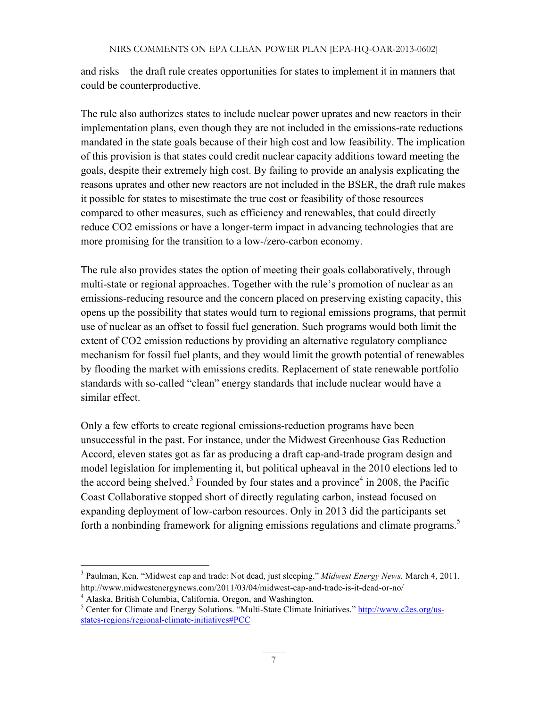and risks – the draft rule creates opportunities for states to implement it in manners that could be counterproductive.

The rule also authorizes states to include nuclear power uprates and new reactors in their implementation plans, even though they are not included in the emissions-rate reductions mandated in the state goals because of their high cost and low feasibility. The implication of this provision is that states could credit nuclear capacity additions toward meeting the goals, despite their extremely high cost. By failing to provide an analysis explicating the reasons uprates and other new reactors are not included in the BSER, the draft rule makes it possible for states to misestimate the true cost or feasibility of those resources compared to other measures, such as efficiency and renewables, that could directly reduce CO2 emissions or have a longer-term impact in advancing technologies that are more promising for the transition to a low-/zero-carbon economy.

The rule also provides states the option of meeting their goals collaboratively, through multi-state or regional approaches. Together with the rule's promotion of nuclear as an emissions-reducing resource and the concern placed on preserving existing capacity, this opens up the possibility that states would turn to regional emissions programs, that permit use of nuclear as an offset to fossil fuel generation. Such programs would both limit the extent of CO2 emission reductions by providing an alternative regulatory compliance mechanism for fossil fuel plants, and they would limit the growth potential of renewables by flooding the market with emissions credits. Replacement of state renewable portfolio standards with so-called "clean" energy standards that include nuclear would have a similar effect.

Only a few efforts to create regional emissions-reduction programs have been unsuccessful in the past. For instance, under the Midwest Greenhouse Gas Reduction Accord, eleven states got as far as producing a draft cap-and-trade program design and model legislation for implementing it, but political upheaval in the 2010 elections led to the accord being shelved.<sup>3</sup> Founded by four states and a province<sup>4</sup> in 2008, the Pacific Coast Collaborative stopped short of directly regulating carbon, instead focused on expanding deployment of low-carbon resources. Only in 2013 did the participants set forth a nonbinding framework for aligning emissions regulations and climate programs.<sup>5</sup>

<sup>3</sup> Paulman, Ken. "Midwest cap and trade: Not dead, just sleeping." *Midwest Energy News.* March 4, 2011. http://www.midwestenergynews.com/2011/03/04/midwest-cap-and-trade-is-it-dead-or-no/

<sup>4</sup> Alaska, British Columbia, California, Oregon, and Washington.

<sup>&</sup>lt;sup>5</sup> Center for Climate and Energy Solutions. "Multi-State Climate Initiatives." http://www.c2es.org/usstates-regions/regional-climate-initiatives#PCC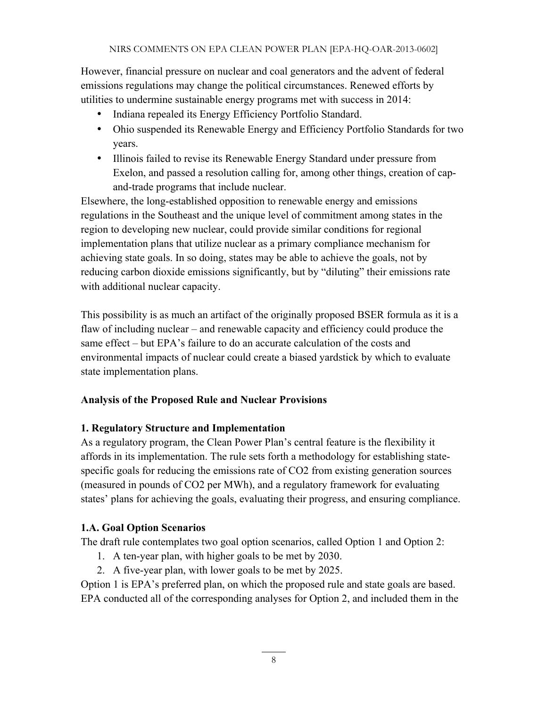However, financial pressure on nuclear and coal generators and the advent of federal emissions regulations may change the political circumstances. Renewed efforts by utilities to undermine sustainable energy programs met with success in 2014:

- Indiana repealed its Energy Efficiency Portfolio Standard.
- Ohio suspended its Renewable Energy and Efficiency Portfolio Standards for two years.
- Illinois failed to revise its Renewable Energy Standard under pressure from Exelon, and passed a resolution calling for, among other things, creation of capand-trade programs that include nuclear.

Elsewhere, the long-established opposition to renewable energy and emissions regulations in the Southeast and the unique level of commitment among states in the region to developing new nuclear, could provide similar conditions for regional implementation plans that utilize nuclear as a primary compliance mechanism for achieving state goals. In so doing, states may be able to achieve the goals, not by reducing carbon dioxide emissions significantly, but by "diluting" their emissions rate with additional nuclear capacity.

This possibility is as much an artifact of the originally proposed BSER formula as it is a flaw of including nuclear – and renewable capacity and efficiency could produce the same effect – but EPA's failure to do an accurate calculation of the costs and environmental impacts of nuclear could create a biased yardstick by which to evaluate state implementation plans.

#### **Analysis of the Proposed Rule and Nuclear Provisions**

#### **1. Regulatory Structure and Implementation**

As a regulatory program, the Clean Power Plan's central feature is the flexibility it affords in its implementation. The rule sets forth a methodology for establishing statespecific goals for reducing the emissions rate of CO2 from existing generation sources (measured in pounds of CO2 per MWh), and a regulatory framework for evaluating states' plans for achieving the goals, evaluating their progress, and ensuring compliance.

# **1.A. Goal Option Scenarios**

The draft rule contemplates two goal option scenarios, called Option 1 and Option 2:

- 1. A ten-year plan, with higher goals to be met by 2030.
- 2. A five-year plan, with lower goals to be met by 2025.

Option 1 is EPA's preferred plan, on which the proposed rule and state goals are based. EPA conducted all of the corresponding analyses for Option 2, and included them in the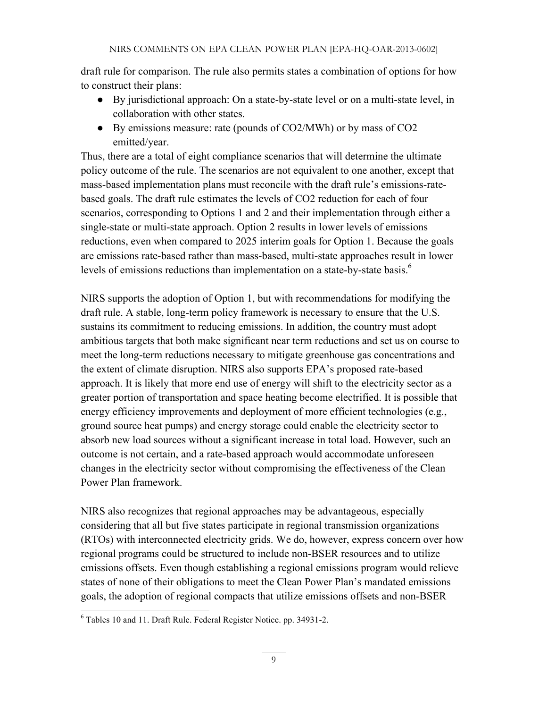draft rule for comparison. The rule also permits states a combination of options for how to construct their plans:

- By jurisdictional approach: On a state-by-state level or on a multi-state level, in collaboration with other states.
- By emissions measure: rate (pounds of CO2/MWh) or by mass of CO2 emitted/year.

Thus, there are a total of eight compliance scenarios that will determine the ultimate policy outcome of the rule. The scenarios are not equivalent to one another, except that mass-based implementation plans must reconcile with the draft rule's emissions-ratebased goals. The draft rule estimates the levels of CO2 reduction for each of four scenarios, corresponding to Options 1 and 2 and their implementation through either a single-state or multi-state approach. Option 2 results in lower levels of emissions reductions, even when compared to 2025 interim goals for Option 1. Because the goals are emissions rate-based rather than mass-based, multi-state approaches result in lower levels of emissions reductions than implementation on a state-by-state basis.<sup>6</sup>

NIRS supports the adoption of Option 1, but with recommendations for modifying the draft rule. A stable, long-term policy framework is necessary to ensure that the U.S. sustains its commitment to reducing emissions. In addition, the country must adopt ambitious targets that both make significant near term reductions and set us on course to meet the long-term reductions necessary to mitigate greenhouse gas concentrations and the extent of climate disruption. NIRS also supports EPA's proposed rate-based approach. It is likely that more end use of energy will shift to the electricity sector as a greater portion of transportation and space heating become electrified. It is possible that energy efficiency improvements and deployment of more efficient technologies (e.g., ground source heat pumps) and energy storage could enable the electricity sector to absorb new load sources without a significant increase in total load. However, such an outcome is not certain, and a rate-based approach would accommodate unforeseen changes in the electricity sector without compromising the effectiveness of the Clean Power Plan framework.

NIRS also recognizes that regional approaches may be advantageous, especially considering that all but five states participate in regional transmission organizations (RTOs) with interconnected electricity grids. We do, however, express concern over how regional programs could be structured to include non-BSER resources and to utilize emissions offsets. Even though establishing a regional emissions program would relieve states of none of their obligations to meet the Clean Power Plan's mandated emissions goals, the adoption of regional compacts that utilize emissions offsets and non-BSER

<sup>6</sup> Tables 10 and 11. Draft Rule. Federal Register Notice. pp. 34931-2.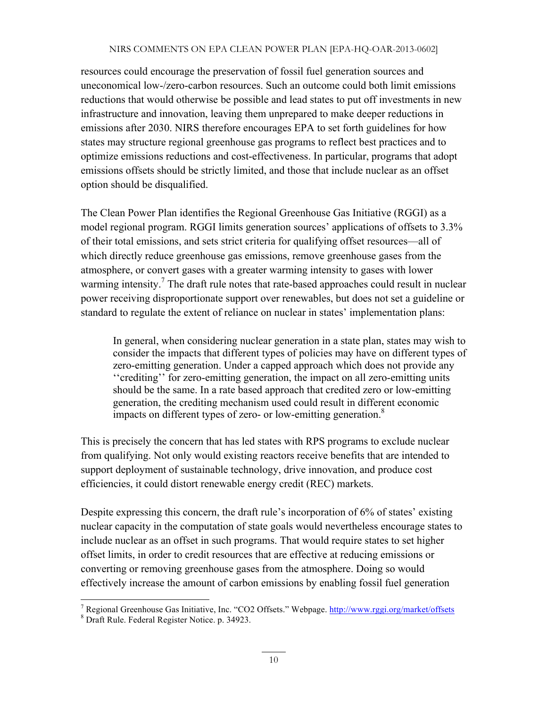resources could encourage the preservation of fossil fuel generation sources and uneconomical low-/zero-carbon resources. Such an outcome could both limit emissions reductions that would otherwise be possible and lead states to put off investments in new infrastructure and innovation, leaving them unprepared to make deeper reductions in emissions after 2030. NIRS therefore encourages EPA to set forth guidelines for how states may structure regional greenhouse gas programs to reflect best practices and to optimize emissions reductions and cost-effectiveness. In particular, programs that adopt emissions offsets should be strictly limited, and those that include nuclear as an offset option should be disqualified.

The Clean Power Plan identifies the Regional Greenhouse Gas Initiative (RGGI) as a model regional program. RGGI limits generation sources' applications of offsets to 3.3% of their total emissions, and sets strict criteria for qualifying offset resources—all of which directly reduce greenhouse gas emissions, remove greenhouse gases from the atmosphere, or convert gases with a greater warming intensity to gases with lower warming intensity.<sup>7</sup> The draft rule notes that rate-based approaches could result in nuclear power receiving disproportionate support over renewables, but does not set a guideline or standard to regulate the extent of reliance on nuclear in states' implementation plans:

In general, when considering nuclear generation in a state plan, states may wish to consider the impacts that different types of policies may have on different types of zero-emitting generation. Under a capped approach which does not provide any ''crediting'' for zero-emitting generation, the impact on all zero-emitting units should be the same. In a rate based approach that credited zero or low-emitting generation, the crediting mechanism used could result in different economic impacts on different types of zero- or low-emitting generation.<sup>8</sup>

This is precisely the concern that has led states with RPS programs to exclude nuclear from qualifying. Not only would existing reactors receive benefits that are intended to support deployment of sustainable technology, drive innovation, and produce cost efficiencies, it could distort renewable energy credit (REC) markets.

Despite expressing this concern, the draft rule's incorporation of 6% of states' existing nuclear capacity in the computation of state goals would nevertheless encourage states to include nuclear as an offset in such programs. That would require states to set higher offset limits, in order to credit resources that are effective at reducing emissions or converting or removing greenhouse gases from the atmosphere. Doing so would effectively increase the amount of carbon emissions by enabling fossil fuel generation

<sup>&</sup>lt;sup>7</sup> Regional Greenhouse Gas Initiative, Inc. "CO2 Offsets." Webpage.  $\frac{http://www.rggi.org/market/offsets}{http://www.rggi.org/market/offsets}$ <sup>8</sup> Draft Rule. Federal Register Notice. p. 34923.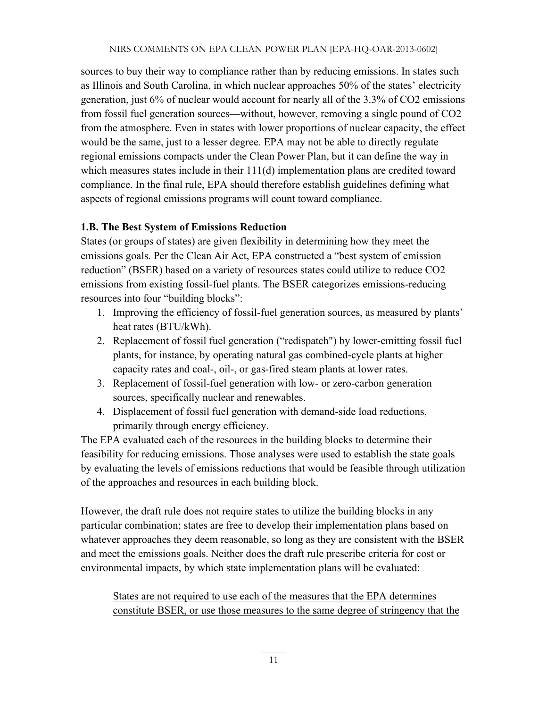sources to buy their way to compliance rather than by reducing emissions. In states such as Illinois and South Carolina, in which nuclear approaches 50% of the states' electricity generation, just 6% of nuclear would account for nearly all of the 3.3% of CO2 emissions from fossil fuel generation sources—without, however, removing a single pound of CO2 from the atmosphere. Even in states with lower proportions of nuclear capacity, the effect would be the same, just to a lesser degree. EPA may not be able to directly regulate regional emissions compacts under the Clean Power Plan, but it can define the way in which measures states include in their 111(d) implementation plans are credited toward compliance. In the final rule, EPA should therefore establish guidelines defining what aspects of regional emissions programs will count toward compliance.

#### **1.B. The Best System of Emissions Reduction**

States (or groups of states) are given flexibility in determining how they meet the emissions goals. Per the Clean Air Act, EPA constructed a "best system of emission reduction" (BSER) based on a variety of resources states could utilize to reduce CO2 emissions from existing fossil-fuel plants. The BSER categorizes emissions-reducing resources into four "building blocks":

- 1. Improving the efficiency of fossil-fuel generation sources, as measured by plants' heat rates (BTU/kWh).
- 2. Replacement of fossil fuel generation ("redispatch") by lower-emitting fossil fuel plants, for instance, by operating natural gas combined-cycle plants at higher capacity rates and coal-, oil-, or gas-fired steam plants at lower rates.
- 3. Replacement of fossil-fuel generation with low- or zero-carbon generation sources, specifically nuclear and renewables.
- 4. Displacement of fossil fuel generation with demand-side load reductions, primarily through energy efficiency.

The EPA evaluated each of the resources in the building blocks to determine their feasibility for reducing emissions. Those analyses were used to establish the state goals by evaluating the levels of emissions reductions that would be feasible through utilization of the approaches and resources in each building block.

However, the draft rule does not require states to utilize the building blocks in any particular combination; states are free to develop their implementation plans based on whatever approaches they deem reasonable, so long as they are consistent with the BSER and meet the emissions goals. Neither does the draft rule prescribe criteria for cost or environmental impacts, by which state implementation plans will be evaluated:

States are not required to use each of the measures that the EPA determines constitute BSER, or use those measures to the same degree of stringency that the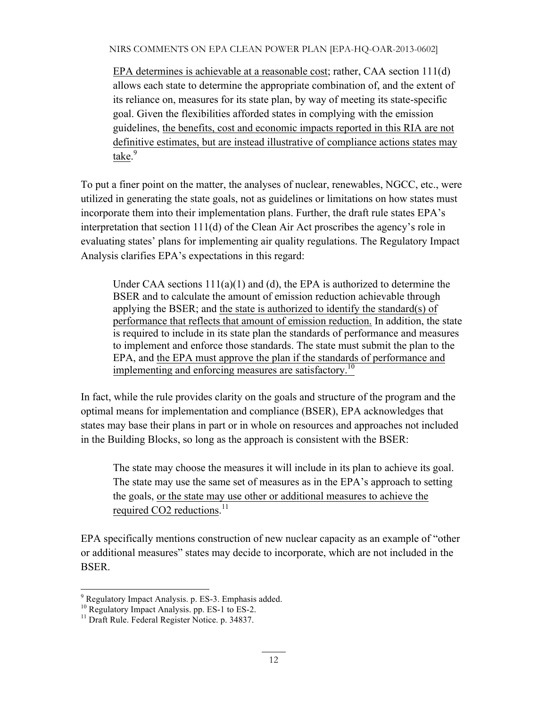EPA determines is achievable at a reasonable cost; rather, CAA section 111(d) allows each state to determine the appropriate combination of, and the extent of its reliance on, measures for its state plan, by way of meeting its state-specific goal. Given the flexibilities afforded states in complying with the emission guidelines, the benefits, cost and economic impacts reported in this RIA are not definitive estimates, but are instead illustrative of compliance actions states may take.<sup>9</sup>

To put a finer point on the matter, the analyses of nuclear, renewables, NGCC, etc., were utilized in generating the state goals, not as guidelines or limitations on how states must incorporate them into their implementation plans. Further, the draft rule states EPA's interpretation that section 111(d) of the Clean Air Act proscribes the agency's role in evaluating states' plans for implementing air quality regulations. The Regulatory Impact Analysis clarifies EPA's expectations in this regard:

Under CAA sections  $111(a)(1)$  and (d), the EPA is authorized to determine the BSER and to calculate the amount of emission reduction achievable through applying the BSER; and the state is authorized to identify the standard(s) of performance that reflects that amount of emission reduction. In addition, the state is required to include in its state plan the standards of performance and measures to implement and enforce those standards. The state must submit the plan to the EPA, and the EPA must approve the plan if the standards of performance and implementing and enforcing measures are satisfactory.<sup>10</sup>

In fact, while the rule provides clarity on the goals and structure of the program and the optimal means for implementation and compliance (BSER), EPA acknowledges that states may base their plans in part or in whole on resources and approaches not included in the Building Blocks, so long as the approach is consistent with the BSER:

The state may choose the measures it will include in its plan to achieve its goal. The state may use the same set of measures as in the EPA's approach to setting the goals, or the state may use other or additional measures to achieve the required CO2 reductions.<sup>11</sup>

EPA specifically mentions construction of new nuclear capacity as an example of "other or additional measures" states may decide to incorporate, which are not included in the BSER.

<sup>&</sup>lt;sup>9</sup> Regulatory Impact Analysis. p. ES-3. Emphasis added. <sup>10</sup> Regulatory Impact Analysis. pp. ES-1 to ES-2. <sup>11</sup> Draft Rule. Federal Register Notice. p. 34837.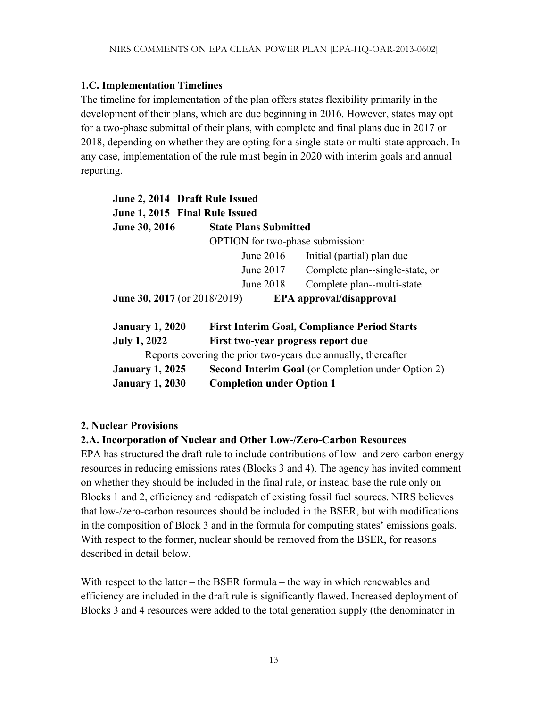# **1.C. Implementation Timelines**

The timeline for implementation of the plan offers states flexibility primarily in the development of their plans, which are due beginning in 2016. However, states may opt for a two-phase submittal of their plans, with complete and final plans due in 2017 or 2018, depending on whether they are opting for a single-state or multi-state approach. In any case, implementation of the rule must begin in 2020 with interim goals and annual reporting.

| June 2, 2014 Draft Rule Issued<br>June 1, 2015 Final Rule Issued |                                                           |                                                               |  |  |
|------------------------------------------------------------------|-----------------------------------------------------------|---------------------------------------------------------------|--|--|
| <b>June 30, 2016</b>                                             | <b>State Plans Submitted</b>                              |                                                               |  |  |
|                                                                  | <b>OPTION</b> for two-phase submission:                   |                                                               |  |  |
|                                                                  | June 2016                                                 | Initial (partial) plan due                                    |  |  |
|                                                                  | June 2017                                                 | Complete plan--single-state, or                               |  |  |
|                                                                  | June 2018                                                 | Complete plan--multi-state                                    |  |  |
| <b>June 30, 2017</b> (or 2018/2019)                              |                                                           | EPA approval/disapproval                                      |  |  |
| <b>January 1, 2020</b>                                           |                                                           | <b>First Interim Goal, Compliance Period Starts</b>           |  |  |
| <b>July 1, 2022</b>                                              | First two-year progress report due                        |                                                               |  |  |
|                                                                  |                                                           | Reports covering the prior two-years due annually, thereafter |  |  |
| <b>January 1, 2025</b>                                           | <b>Second Interim Goal</b> (or Completion under Option 2) |                                                               |  |  |
| <b>January 1, 2030</b>                                           | <b>Completion under Option 1</b>                          |                                                               |  |  |

#### **2. Nuclear Provisions**

#### **2.A. Incorporation of Nuclear and Other Low-/Zero-Carbon Resources**

EPA has structured the draft rule to include contributions of low- and zero-carbon energy resources in reducing emissions rates (Blocks 3 and 4). The agency has invited comment on whether they should be included in the final rule, or instead base the rule only on Blocks 1 and 2, efficiency and redispatch of existing fossil fuel sources. NIRS believes that low-/zero-carbon resources should be included in the BSER, but with modifications in the composition of Block 3 and in the formula for computing states' emissions goals. With respect to the former, nuclear should be removed from the BSER, for reasons described in detail below.

With respect to the latter – the BSER formula – the way in which renewables and efficiency are included in the draft rule is significantly flawed. Increased deployment of Blocks 3 and 4 resources were added to the total generation supply (the denominator in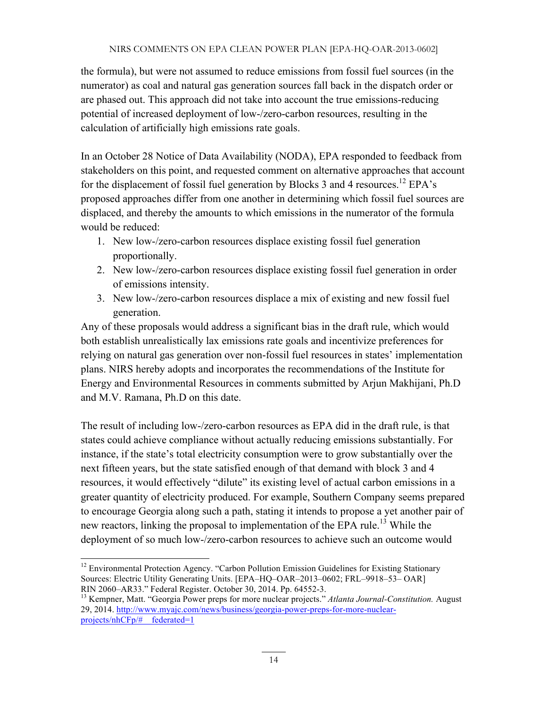the formula), but were not assumed to reduce emissions from fossil fuel sources (in the numerator) as coal and natural gas generation sources fall back in the dispatch order or are phased out. This approach did not take into account the true emissions-reducing potential of increased deployment of low-/zero-carbon resources, resulting in the calculation of artificially high emissions rate goals.

In an October 28 Notice of Data Availability (NODA), EPA responded to feedback from stakeholders on this point, and requested comment on alternative approaches that account for the displacement of fossil fuel generation by Blocks 3 and 4 resources.<sup>12</sup> EPA's proposed approaches differ from one another in determining which fossil fuel sources are displaced, and thereby the amounts to which emissions in the numerator of the formula would be reduced:

- 1. New low-/zero-carbon resources displace existing fossil fuel generation proportionally.
- 2. New low-/zero-carbon resources displace existing fossil fuel generation in order of emissions intensity.
- 3. New low-/zero-carbon resources displace a mix of existing and new fossil fuel generation.

Any of these proposals would address a significant bias in the draft rule, which would both establish unrealistically lax emissions rate goals and incentivize preferences for relying on natural gas generation over non-fossil fuel resources in states' implementation plans. NIRS hereby adopts and incorporates the recommendations of the Institute for Energy and Environmental Resources in comments submitted by Arjun Makhijani, Ph.D and M.V. Ramana, Ph.D on this date.

The result of including low-/zero-carbon resources as EPA did in the draft rule, is that states could achieve compliance without actually reducing emissions substantially. For instance, if the state's total electricity consumption were to grow substantially over the next fifteen years, but the state satisfied enough of that demand with block 3 and 4 resources, it would effectively "dilute" its existing level of actual carbon emissions in a greater quantity of electricity produced. For example, Southern Company seems prepared to encourage Georgia along such a path, stating it intends to propose a yet another pair of new reactors, linking the proposal to implementation of the EPA rule.<sup>13</sup> While the deployment of so much low-/zero-carbon resources to achieve such an outcome would

<sup>&</sup>lt;sup>12</sup> Environmental Protection Agency. "Carbon Pollution Emission Guidelines for Existing Stationary Sources: Electric Utility Generating Units. [EPA–HQ–OAR–2013–0602; FRL–9918–53– OAR]

RIN 2060–AR33." Federal Register. October 30, 2014. Pp. 64552-3.<br><sup>13</sup> Kempner, Matt. "Georgia Power preps for more nuclear projects." *Atlanta Journal-Constitution*. August 29, 2014. http://www.myajc.com/news/business/georgia-power-preps-for-more-nuclearprojects/nhCFp/#\_\_federated=1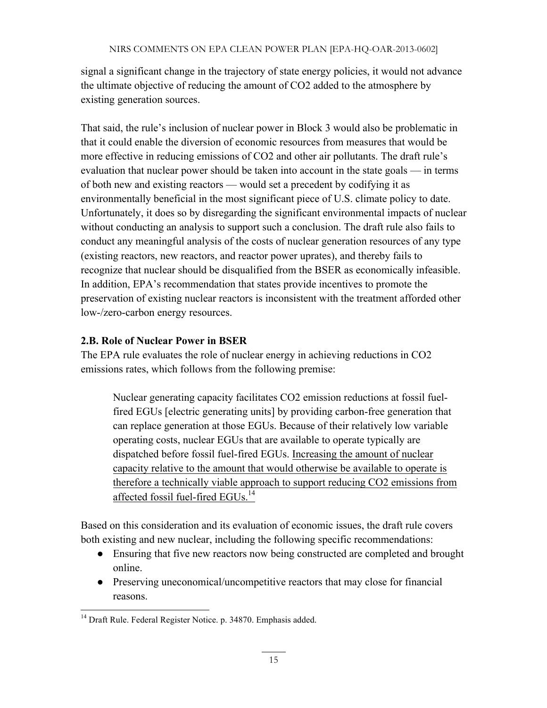signal a significant change in the trajectory of state energy policies, it would not advance the ultimate objective of reducing the amount of CO2 added to the atmosphere by existing generation sources.

That said, the rule's inclusion of nuclear power in Block 3 would also be problematic in that it could enable the diversion of economic resources from measures that would be more effective in reducing emissions of CO2 and other air pollutants. The draft rule's evaluation that nuclear power should be taken into account in the state goals — in terms of both new and existing reactors — would set a precedent by codifying it as environmentally beneficial in the most significant piece of U.S. climate policy to date. Unfortunately, it does so by disregarding the significant environmental impacts of nuclear without conducting an analysis to support such a conclusion. The draft rule also fails to conduct any meaningful analysis of the costs of nuclear generation resources of any type (existing reactors, new reactors, and reactor power uprates), and thereby fails to recognize that nuclear should be disqualified from the BSER as economically infeasible. In addition, EPA's recommendation that states provide incentives to promote the preservation of existing nuclear reactors is inconsistent with the treatment afforded other low-/zero-carbon energy resources.

# **2.B. Role of Nuclear Power in BSER**

The EPA rule evaluates the role of nuclear energy in achieving reductions in CO2 emissions rates, which follows from the following premise:

Nuclear generating capacity facilitates CO2 emission reductions at fossil fuelfired EGUs [electric generating units] by providing carbon-free generation that can replace generation at those EGUs. Because of their relatively low variable operating costs, nuclear EGUs that are available to operate typically are dispatched before fossil fuel-fired EGUs. Increasing the amount of nuclear capacity relative to the amount that would otherwise be available to operate is therefore a technically viable approach to support reducing CO2 emissions from affected fossil fuel-fired EGUs.14

Based on this consideration and its evaluation of economic issues, the draft rule covers both existing and new nuclear, including the following specific recommendations:

- Ensuring that five new reactors now being constructed are completed and brought online.
- Preserving uneconomical/uncompetitive reactors that may close for financial reasons.

<sup>&</sup>lt;sup>14</sup> Draft Rule. Federal Register Notice. p. 34870. Emphasis added.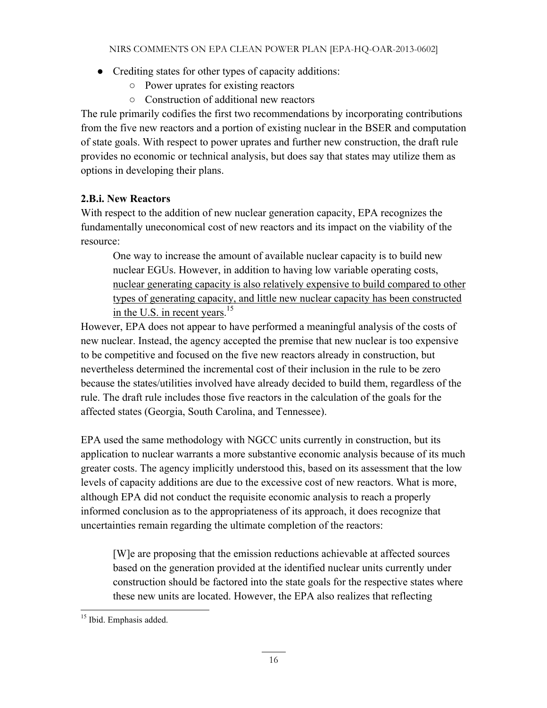- Crediting states for other types of capacity additions:
	- Power uprates for existing reactors
	- Construction of additional new reactors

The rule primarily codifies the first two recommendations by incorporating contributions from the five new reactors and a portion of existing nuclear in the BSER and computation of state goals. With respect to power uprates and further new construction, the draft rule provides no economic or technical analysis, but does say that states may utilize them as options in developing their plans.

# **2.B.i. New Reactors**

With respect to the addition of new nuclear generation capacity, EPA recognizes the fundamentally uneconomical cost of new reactors and its impact on the viability of the resource:

One way to increase the amount of available nuclear capacity is to build new nuclear EGUs. However, in addition to having low variable operating costs, nuclear generating capacity is also relatively expensive to build compared to other types of generating capacity, and little new nuclear capacity has been constructed in the U.S. in recent years.<sup>15</sup>

However, EPA does not appear to have performed a meaningful analysis of the costs of new nuclear. Instead, the agency accepted the premise that new nuclear is too expensive to be competitive and focused on the five new reactors already in construction, but nevertheless determined the incremental cost of their inclusion in the rule to be zero because the states/utilities involved have already decided to build them, regardless of the rule. The draft rule includes those five reactors in the calculation of the goals for the affected states (Georgia, South Carolina, and Tennessee).

EPA used the same methodology with NGCC units currently in construction, but its application to nuclear warrants a more substantive economic analysis because of its much greater costs. The agency implicitly understood this, based on its assessment that the low levels of capacity additions are due to the excessive cost of new reactors. What is more, although EPA did not conduct the requisite economic analysis to reach a properly informed conclusion as to the appropriateness of its approach, it does recognize that uncertainties remain regarding the ultimate completion of the reactors:

[W]e are proposing that the emission reductions achievable at affected sources based on the generation provided at the identified nuclear units currently under construction should be factored into the state goals for the respective states where these new units are located. However, the EPA also realizes that reflecting

<sup>&</sup>lt;sup>15</sup> Ibid. Emphasis added.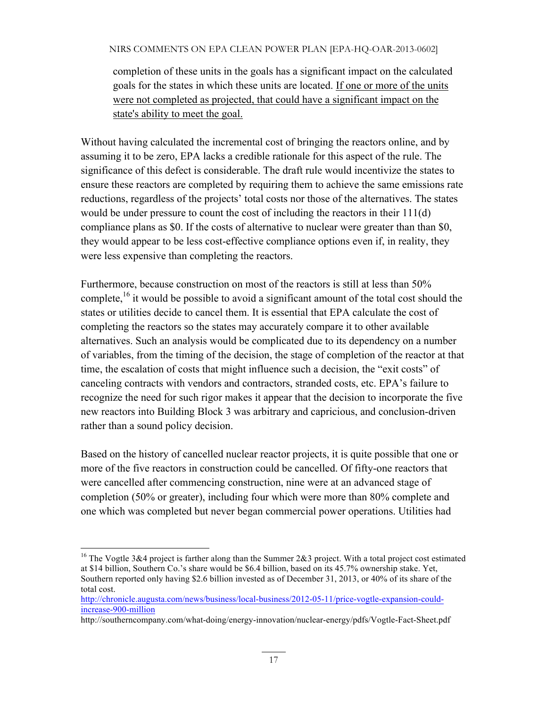completion of these units in the goals has a significant impact on the calculated goals for the states in which these units are located. If one or more of the units were not completed as projected, that could have a significant impact on the state's ability to meet the goal.

Without having calculated the incremental cost of bringing the reactors online, and by assuming it to be zero, EPA lacks a credible rationale for this aspect of the rule. The significance of this defect is considerable. The draft rule would incentivize the states to ensure these reactors are completed by requiring them to achieve the same emissions rate reductions, regardless of the projects' total costs nor those of the alternatives. The states would be under pressure to count the cost of including the reactors in their 111(d) compliance plans as \$0. If the costs of alternative to nuclear were greater than than \$0, they would appear to be less cost-effective compliance options even if, in reality, they were less expensive than completing the reactors.

Furthermore, because construction on most of the reactors is still at less than 50% complete,  $^{16}$  it would be possible to avoid a significant amount of the total cost should the states or utilities decide to cancel them. It is essential that EPA calculate the cost of completing the reactors so the states may accurately compare it to other available alternatives. Such an analysis would be complicated due to its dependency on a number of variables, from the timing of the decision, the stage of completion of the reactor at that time, the escalation of costs that might influence such a decision, the "exit costs" of canceling contracts with vendors and contractors, stranded costs, etc. EPA's failure to recognize the need for such rigor makes it appear that the decision to incorporate the five new reactors into Building Block 3 was arbitrary and capricious, and conclusion-driven rather than a sound policy decision.

Based on the history of cancelled nuclear reactor projects, it is quite possible that one or more of the five reactors in construction could be cancelled. Of fifty-one reactors that were cancelled after commencing construction, nine were at an advanced stage of completion (50% or greater), including four which were more than 80% complete and one which was completed but never began commercial power operations. Utilities had

<sup>&</sup>lt;sup>16</sup> The Vogtle 3&4 project is farther along than the Summer 2&3 project. With a total project cost estimated at \$14 billion, Southern Co.'s share would be \$6.4 billion, based on its 45.7% ownership stake. Yet, Southern reported only having \$2.6 billion invested as of December 31, 2013, or 40% of its share of the total cost.

http://chronicle.augusta.com/news/business/local-business/2012-05-11/price-vogtle-expansion-couldincrease-900-million

http://southerncompany.com/what-doing/energy-innovation/nuclear-energy/pdfs/Vogtle-Fact-Sheet.pdf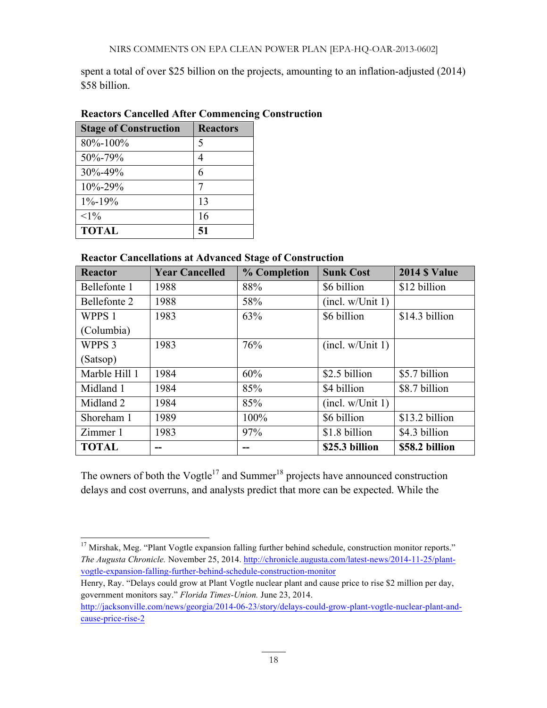spent a total of over \$25 billion on the projects, amounting to an inflation-adjusted (2014) \$58 billion.

| <b>Stage of Construction</b> | <b>Reactors</b> |
|------------------------------|-----------------|
| 80%-100%                     | ↖               |
| 50%-79%                      |                 |
| 30%-49%                      | 6               |
| 10%-29%                      |                 |
| $1\% - 19\%$                 | 13              |
| $<1\%$                       | 16              |
| <b>TOTAL</b>                 | 51              |

# **Reactors Cancelled After Commencing Construction**

#### **Reactor Cancellations at Advanced Stage of Construction**

| <b>Reactor</b>    | <b>Year Cancelled</b> | % Completion | <b>Sunk Cost</b>             | <b>2014 \$ Value</b> |
|-------------------|-----------------------|--------------|------------------------------|----------------------|
| Bellefonte 1      | 1988                  | 88%          | \$6 billion                  | \$12 billion         |
| Bellefonte 2      | 1988                  | 58%          | (incl. w/Unit 1)             |                      |
| WPPS 1            | 1983                  | 63%          | \$6 billion                  | \$14.3 billion       |
| (Columbia)        |                       |              |                              |                      |
| WPPS <sub>3</sub> | 1983                  | 76%          | (incl. w/Unit 1)             |                      |
| (Satsop)          |                       |              |                              |                      |
| Marble Hill 1     | 1984                  | 60%          | \$2.5 billion                | \$5.7 billion        |
| Midland 1         | 1984                  | 85%          | \$4 billion<br>\$8.7 billion |                      |
| Midland 2         | 1984                  | 85%          | (incl. w/Unit 1)             |                      |
| Shoreham 1        | 1989                  | 100%         | \$6 billion                  | \$13.2 billion       |
| Zimmer 1          | 1983                  | 97%          | \$1.8 billion                | \$4.3 billion        |
| <b>TOTAL</b>      |                       |              | \$25.3 billion               | \$58.2 billion       |

The owners of both the Vogtle<sup>17</sup> and Summer<sup>18</sup> projects have announced construction delays and cost overruns, and analysts predict that more can be expected. While the

<sup>&</sup>lt;sup>17</sup> Mirshak, Meg. "Plant Vogtle expansion falling further behind schedule, construction monitor reports." *The Augusta Chronicle.* November 25, 2014. http://chronicle.augusta.com/latest-news/2014-11-25/plantvogtle-expansion-falling-further-behind-schedule-construction-monitor

Henry, Ray. "Delays could grow at Plant Vogtle nuclear plant and cause price to rise \$2 million per day, government monitors say." *Florida Times-Union.* June 23, 2014.

http://jacksonville.com/news/georgia/2014-06-23/story/delays-could-grow-plant-vogtle-nuclear-plant-andcause-price-rise-2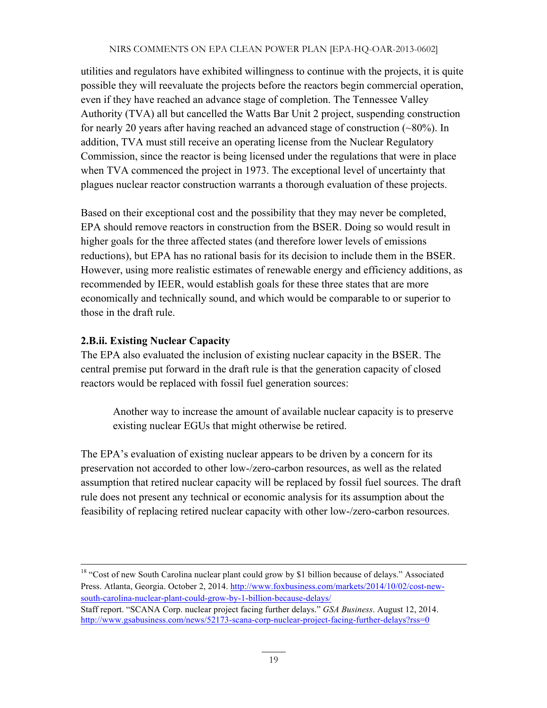utilities and regulators have exhibited willingness to continue with the projects, it is quite possible they will reevaluate the projects before the reactors begin commercial operation, even if they have reached an advance stage of completion. The Tennessee Valley Authority (TVA) all but cancelled the Watts Bar Unit 2 project, suspending construction for nearly 20 years after having reached an advanced stage of construction (~80%). In addition, TVA must still receive an operating license from the Nuclear Regulatory Commission, since the reactor is being licensed under the regulations that were in place when TVA commenced the project in 1973. The exceptional level of uncertainty that plagues nuclear reactor construction warrants a thorough evaluation of these projects.

Based on their exceptional cost and the possibility that they may never be completed, EPA should remove reactors in construction from the BSER. Doing so would result in higher goals for the three affected states (and therefore lower levels of emissions reductions), but EPA has no rational basis for its decision to include them in the BSER. However, using more realistic estimates of renewable energy and efficiency additions, as recommended by IEER, would establish goals for these three states that are more economically and technically sound, and which would be comparable to or superior to those in the draft rule.

#### **2.B.ii. Existing Nuclear Capacity**

The EPA also evaluated the inclusion of existing nuclear capacity in the BSER. The central premise put forward in the draft rule is that the generation capacity of closed reactors would be replaced with fossil fuel generation sources:

Another way to increase the amount of available nuclear capacity is to preserve existing nuclear EGUs that might otherwise be retired.

The EPA's evaluation of existing nuclear appears to be driven by a concern for its preservation not accorded to other low-/zero-carbon resources, as well as the related assumption that retired nuclear capacity will be replaced by fossil fuel sources. The draft rule does not present any technical or economic analysis for its assumption about the feasibility of replacing retired nuclear capacity with other low-/zero-carbon resources.

<sup>&</sup>lt;sup>18</sup> "Cost of new South Carolina nuclear plant could grow by \$1 billion because of delays." Associated Press. Atlanta, Georgia. October 2, 2014. http://www.foxbusiness.com/markets/2014/10/02/cost-newsouth-carolina-nuclear-plant-could-grow-by-1-billion-because-delays/

Staff report. "SCANA Corp. nuclear project facing further delays." *GSA Business*. August 12, 2014. http://www.gsabusiness.com/news/52173-scana-corp-nuclear-project-facing-further-delays?rss=0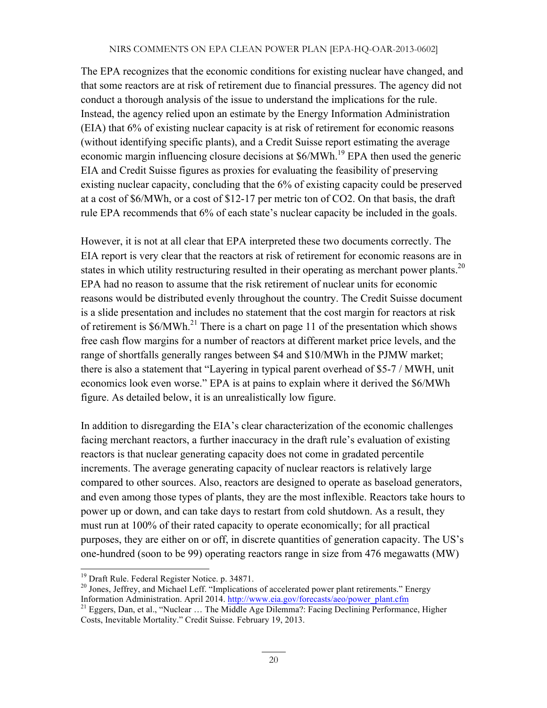The EPA recognizes that the economic conditions for existing nuclear have changed, and that some reactors are at risk of retirement due to financial pressures. The agency did not conduct a thorough analysis of the issue to understand the implications for the rule. Instead, the agency relied upon an estimate by the Energy Information Administration (EIA) that 6% of existing nuclear capacity is at risk of retirement for economic reasons (without identifying specific plants), and a Credit Suisse report estimating the average economic margin influencing closure decisions at \$6/MWh.<sup>19</sup> EPA then used the generic EIA and Credit Suisse figures as proxies for evaluating the feasibility of preserving existing nuclear capacity, concluding that the 6% of existing capacity could be preserved at a cost of \$6/MWh, or a cost of \$12-17 per metric ton of CO2. On that basis, the draft rule EPA recommends that 6% of each state's nuclear capacity be included in the goals.

However, it is not at all clear that EPA interpreted these two documents correctly. The EIA report is very clear that the reactors at risk of retirement for economic reasons are in states in which utility restructuring resulted in their operating as merchant power plants.<sup>20</sup> EPA had no reason to assume that the risk retirement of nuclear units for economic reasons would be distributed evenly throughout the country. The Credit Suisse document is a slide presentation and includes no statement that the cost margin for reactors at risk of retirement is  $$6/MWh.<sup>21</sup>$  There is a chart on page 11 of the presentation which shows free cash flow margins for a number of reactors at different market price levels, and the range of shortfalls generally ranges between \$4 and \$10/MWh in the PJMW market; there is also a statement that "Layering in typical parent overhead of \$5-7 / MWH, unit economics look even worse." EPA is at pains to explain where it derived the \$6/MWh figure. As detailed below, it is an unrealistically low figure.

In addition to disregarding the EIA's clear characterization of the economic challenges facing merchant reactors, a further inaccuracy in the draft rule's evaluation of existing reactors is that nuclear generating capacity does not come in gradated percentile increments. The average generating capacity of nuclear reactors is relatively large compared to other sources. Also, reactors are designed to operate as baseload generators, and even among those types of plants, they are the most inflexible. Reactors take hours to power up or down, and can take days to restart from cold shutdown. As a result, they must run at 100% of their rated capacity to operate economically; for all practical purposes, they are either on or off, in discrete quantities of generation capacity. The US's one-hundred (soon to be 99) operating reactors range in size from 476 megawatts (MW)

<sup>&</sup>lt;sup>19</sup> Draft Rule. Federal Register Notice. p. 34871.<br><sup>20</sup> Jones, Jeffrey, and Michael Leff. "Implications of accelerated power plant retirements." Energy<br>Information Administration. April 2014. http://www.eia.gov/forecasts

<sup>&</sup>lt;sup>21</sup> Eggers, Dan, et al., "Nuclear … The Middle Age Dilemma?: Facing Declining Performance, Higher Costs, Inevitable Mortality." Credit Suisse. February 19, 2013.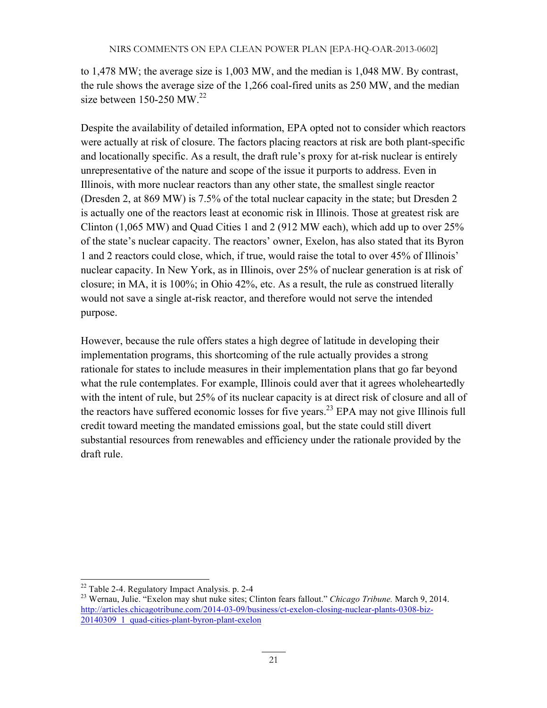to 1,478 MW; the average size is 1,003 MW, and the median is 1,048 MW. By contrast, the rule shows the average size of the 1,266 coal-fired units as 250 MW, and the median size between  $150-250$  MW.<sup>22</sup>

Despite the availability of detailed information, EPA opted not to consider which reactors were actually at risk of closure. The factors placing reactors at risk are both plant-specific and locationally specific. As a result, the draft rule's proxy for at-risk nuclear is entirely unrepresentative of the nature and scope of the issue it purports to address. Even in Illinois, with more nuclear reactors than any other state, the smallest single reactor (Dresden 2, at 869 MW) is 7.5% of the total nuclear capacity in the state; but Dresden 2 is actually one of the reactors least at economic risk in Illinois. Those at greatest risk are Clinton (1,065 MW) and Quad Cities 1 and 2 (912 MW each), which add up to over 25% of the state's nuclear capacity. The reactors' owner, Exelon, has also stated that its Byron 1 and 2 reactors could close, which, if true, would raise the total to over 45% of Illinois' nuclear capacity. In New York, as in Illinois, over 25% of nuclear generation is at risk of closure; in MA, it is 100%; in Ohio 42%, etc. As a result, the rule as construed literally would not save a single at-risk reactor, and therefore would not serve the intended purpose.

However, because the rule offers states a high degree of latitude in developing their implementation programs, this shortcoming of the rule actually provides a strong rationale for states to include measures in their implementation plans that go far beyond what the rule contemplates. For example, Illinois could aver that it agrees wholeheartedly with the intent of rule, but 25% of its nuclear capacity is at direct risk of closure and all of the reactors have suffered economic losses for five years.<sup>23</sup> EPA may not give Illinois full credit toward meeting the mandated emissions goal, but the state could still divert substantial resources from renewables and efficiency under the rationale provided by the draft rule.

<sup>22</sup> Table 2-4. Regulatory Impact Analysis. p. 2-4 <sup>23</sup> Wernau, Julie. "Exelon may shut nuke sites; Clinton fears fallout." *Chicago Tribune.* March 9, 2014. http://articles.chicagotribune.com/2014-03-09/business/ct-exelon-closing-nuclear-plants-0308-biz-20140309\_1\_quad-cities-plant-byron-plant-exelon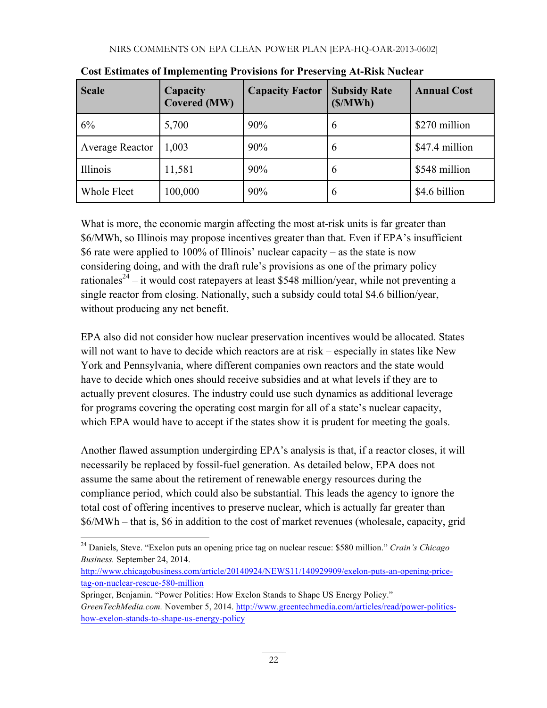| <b>Scale</b>    | Capacity<br><b>Covered (MW)</b> | <b>Capacity Factor</b> | <b>Subsidy Rate</b><br>(S/MWh) | <b>Annual Cost</b> |
|-----------------|---------------------------------|------------------------|--------------------------------|--------------------|
| 6%              | 5,700                           | 90%                    | 6                              | \$270 million      |
| Average Reactor | 1,003                           | 90%                    | 6                              | \$47.4 million     |
| Illinois        | 11,581                          | 90%                    | 6                              | \$548 million      |
| Whole Fleet     | 100,000                         | 90%                    | 6                              | \$4.6 billion      |

**Cost Estimates of Implementing Provisions for Preserving At-Risk Nuclear**

What is more, the economic margin affecting the most at-risk units is far greater than \$6/MWh, so Illinois may propose incentives greater than that. Even if EPA's insufficient \$6 rate were applied to 100% of Illinois' nuclear capacity – as the state is now considering doing, and with the draft rule's provisions as one of the primary policy rationales<sup>24</sup> – it would cost ratepayers at least \$548 million/year, while not preventing a single reactor from closing. Nationally, such a subsidy could total \$4.6 billion/year, without producing any net benefit.

EPA also did not consider how nuclear preservation incentives would be allocated. States will not want to have to decide which reactors are at risk – especially in states like New York and Pennsylvania, where different companies own reactors and the state would have to decide which ones should receive subsidies and at what levels if they are to actually prevent closures. The industry could use such dynamics as additional leverage for programs covering the operating cost margin for all of a state's nuclear capacity, which EPA would have to accept if the states show it is prudent for meeting the goals.

Another flawed assumption undergirding EPA's analysis is that, if a reactor closes, it will necessarily be replaced by fossil-fuel generation. As detailed below, EPA does not assume the same about the retirement of renewable energy resources during the compliance period, which could also be substantial. This leads the agency to ignore the total cost of offering incentives to preserve nuclear, which is actually far greater than \$6/MWh – that is, \$6 in addition to the cost of market revenues (wholesale, capacity, grid

<sup>24</sup> Daniels, Steve. "Exelon puts an opening price tag on nuclear rescue: \$580 million." *Crain's Chicago Business.* September 24, 2014.

http://www.chicagobusiness.com/article/20140924/NEWS11/140929909/exelon-puts-an-opening-pricetag-on-nuclear-rescue-580-million

Springer, Benjamin. "Power Politics: How Exelon Stands to Shape US Energy Policy." *GreenTechMedia.com.* November 5, 2014. http://www.greentechmedia.com/articles/read/power-politicshow-exelon-stands-to-shape-us-energy-policy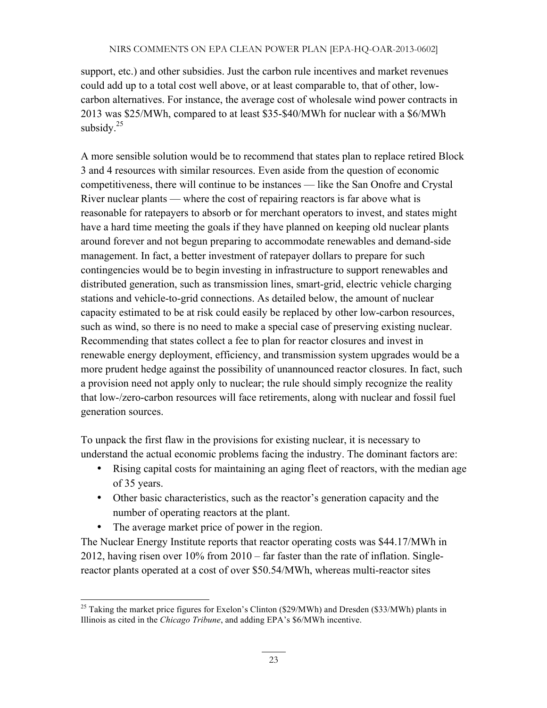support, etc.) and other subsidies. Just the carbon rule incentives and market revenues could add up to a total cost well above, or at least comparable to, that of other, lowcarbon alternatives. For instance, the average cost of wholesale wind power contracts in 2013 was \$25/MWh, compared to at least \$35-\$40/MWh for nuclear with a \$6/MWh subsidy. $25$ 

A more sensible solution would be to recommend that states plan to replace retired Block 3 and 4 resources with similar resources. Even aside from the question of economic competitiveness, there will continue to be instances — like the San Onofre and Crystal River nuclear plants — where the cost of repairing reactors is far above what is reasonable for ratepayers to absorb or for merchant operators to invest, and states might have a hard time meeting the goals if they have planned on keeping old nuclear plants around forever and not begun preparing to accommodate renewables and demand-side management. In fact, a better investment of ratepayer dollars to prepare for such contingencies would be to begin investing in infrastructure to support renewables and distributed generation, such as transmission lines, smart-grid, electric vehicle charging stations and vehicle-to-grid connections. As detailed below, the amount of nuclear capacity estimated to be at risk could easily be replaced by other low-carbon resources, such as wind, so there is no need to make a special case of preserving existing nuclear. Recommending that states collect a fee to plan for reactor closures and invest in renewable energy deployment, efficiency, and transmission system upgrades would be a more prudent hedge against the possibility of unannounced reactor closures. In fact, such a provision need not apply only to nuclear; the rule should simply recognize the reality that low-/zero-carbon resources will face retirements, along with nuclear and fossil fuel generation sources.

To unpack the first flaw in the provisions for existing nuclear, it is necessary to understand the actual economic problems facing the industry. The dominant factors are:

- Rising capital costs for maintaining an aging fleet of reactors, with the median age of 35 years.
- Other basic characteristics, such as the reactor's generation capacity and the number of operating reactors at the plant.
- The average market price of power in the region.

The Nuclear Energy Institute reports that reactor operating costs was \$44.17/MWh in 2012, having risen over 10% from 2010 – far faster than the rate of inflation. Singlereactor plants operated at a cost of over \$50.54/MWh, whereas multi-reactor sites

<sup>&</sup>lt;sup>25</sup> Taking the market price figures for Exelon's Clinton (\$29/MWh) and Dresden (\$33/MWh) plants in Illinois as cited in the *Chicago Tribune*, and adding EPA's \$6/MWh incentive.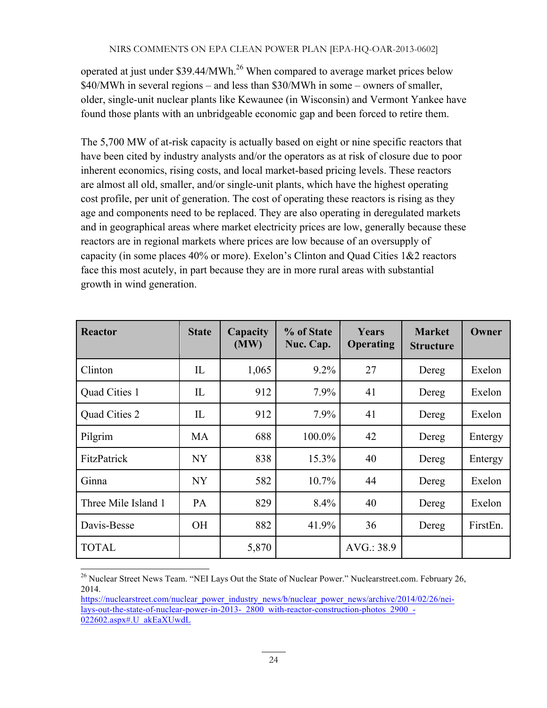operated at just under  $$39.44/MWh.<sup>26</sup>$  When compared to average market prices below \$40/MWh in several regions – and less than \$30/MWh in some – owners of smaller, older, single-unit nuclear plants like Kewaunee (in Wisconsin) and Vermont Yankee have found those plants with an unbridgeable economic gap and been forced to retire them.

The 5,700 MW of at-risk capacity is actually based on eight or nine specific reactors that have been cited by industry analysts and/or the operators as at risk of closure due to poor inherent economics, rising costs, and local market-based pricing levels. These reactors are almost all old, smaller, and/or single-unit plants, which have the highest operating cost profile, per unit of generation. The cost of operating these reactors is rising as they age and components need to be replaced. They are also operating in deregulated markets and in geographical areas where market electricity prices are low, generally because these reactors are in regional markets where prices are low because of an oversupply of capacity (in some places 40% or more). Exelon's Clinton and Quad Cities 1&2 reactors face this most acutely, in part because they are in more rural areas with substantial growth in wind generation.

| Reactor             | <b>State</b>         | Capacity<br>(MW) | % of State<br>Nuc. Cap. | Years<br>Operating | <b>Market</b><br><b>Structure</b> | Owner    |
|---------------------|----------------------|------------------|-------------------------|--------------------|-----------------------------------|----------|
| Clinton             | $\mathop{\text{IL}}$ | 1,065            | $9.2\%$                 | 27                 | Dereg                             | Exelon   |
| Quad Cities 1       | IL                   | 912              | 7.9%                    | 41                 | Dereg                             | Exelon   |
| Quad Cities 2       | IL                   | 912              | 7.9%                    | 41                 | Dereg                             | Exelon   |
| Pilgrim             | MA                   | 688              | 100.0%                  | 42                 | Dereg                             | Entergy  |
| FitzPatrick         | <b>NY</b>            | 838              | 15.3%                   | 40                 | Dereg                             | Entergy  |
| Ginna               | <b>NY</b>            | 582              | 10.7%                   | 44                 | Dereg                             | Exelon   |
| Three Mile Island 1 | <b>PA</b>            | 829              | 8.4%                    | 40                 | Dereg                             | Exelon   |
| Davis-Besse         | <b>OH</b>            | 882              | 41.9%                   | 36                 | Dereg                             | FirstEn. |
| <b>TOTAL</b>        |                      | 5,870            |                         | AVG.: 38.9         |                                   |          |

<sup>&</sup>lt;sup>26</sup> Nuclear Street News Team. "NEI Lays Out the State of Nuclear Power." Nuclearstreet.com. February 26, 2014.

https://nuclearstreet.com/nuclear\_power\_industry\_news/b/nuclear\_power\_news/archive/2014/02/26/neilays-out-the-state-of-nuclear-power-in-2013-\_2800\_with-reactor-construction-photos\_2900\_- 022602.aspx#.U\_akEaXUwdL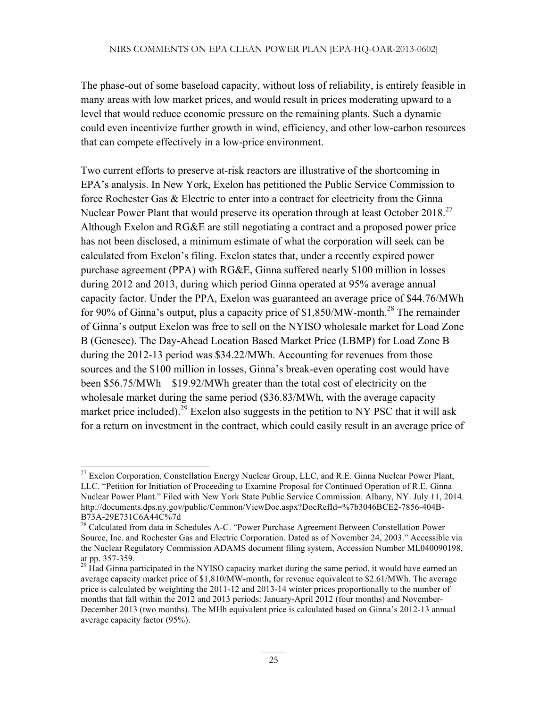The phase-out of some baseload capacity, without loss of reliability, is entirely feasible in many areas with low market prices, and would result in prices moderating upward to a level that would reduce economic pressure on the remaining plants. Such a dynamic could even incentivize further growth in wind, efficiency, and other low-carbon resources that can compete effectively in a low-price environment.

Two current efforts to preserve at-risk reactors are illustrative of the shortcoming in EPA's analysis. In New York, Exelon has petitioned the Public Service Commission to force Rochester Gas & Electric to enter into a contract for electricity from the Ginna Nuclear Power Plant that would preserve its operation through at least October 2018.<sup>27</sup> Although Exelon and RG&E are still negotiating a contract and a proposed power price has not been disclosed, a minimum estimate of what the corporation will seek can be calculated from Exelon's filing. Exelon states that, under a recently expired power purchase agreement (PPA) with RG&E, Ginna suffered nearly \$100 million in losses during 2012 and 2013, during which period Ginna operated at 95% average annual capacity factor. Under the PPA, Exelon was guaranteed an average price of \$44.76/MWh for 90% of Ginna's output, plus a capacity price of  $$1,850/MW$ -month.<sup>28</sup> The remainder of Ginna's output Exelon was free to sell on the NYISO wholesale market for Load Zone B (Genesee). The Day-Ahead Location Based Market Price (LBMP) for Load Zone B during the 2012-13 period was \$34.22/MWh. Accounting for revenues from those sources and the \$100 million in losses, Ginna's break-even operating cost would have been \$56.75/MWh – \$19.92/MWh greater than the total cost of electricity on the wholesale market during the same period (\$36.83/MWh, with the average capacity market price included).<sup>29</sup> Exelon also suggests in the petition to NY PSC that it will ask for a return on investment in the contract, which could easily result in an average price of

 $27$  Exelon Corporation, Constellation Energy Nuclear Group, LLC, and R.E. Ginna Nuclear Power Plant, LLC. "Petition for Initiation of Proceeding to Examine Proposal for Continued Operation of R.E. Ginna Nuclear Power Plant." Filed with New York State Public Service Commission. Albany, NY. July 11, 2014. http://documents.dps.ny.gov/public/Common/ViewDoc.aspx?DocRefId=%7b3046BCE2-7856-404B-B73A-29E731C6A44C%7d<br><sup>28</sup> Calculated from data in Schedules A-C. "Power Purchase Agreement Between Constellation Power

Source, Inc. and Rochester Gas and Electric Corporation. Dated as of November 24, 2003." Accessible via the Nuclear Regulatory Commission ADAMS document filing system, Accession Number ML040090198, at pp. 357-359.

 $29$  Had Ginna participated in the NYISO capacity market during the same period, it would have earned an average capacity market price of \$1,810/MW-month, for revenue equivalent to \$2.61/MWh. The average price is calculated by weighting the 2011-12 and 2013-14 winter prices proportionally to the number of months that fall within the 2012 and 2013 periods: January-April 2012 (four months) and November-December 2013 (two months). The MHh equivalent price is calculated based on Ginna's 2012-13 annual average capacity factor (95%).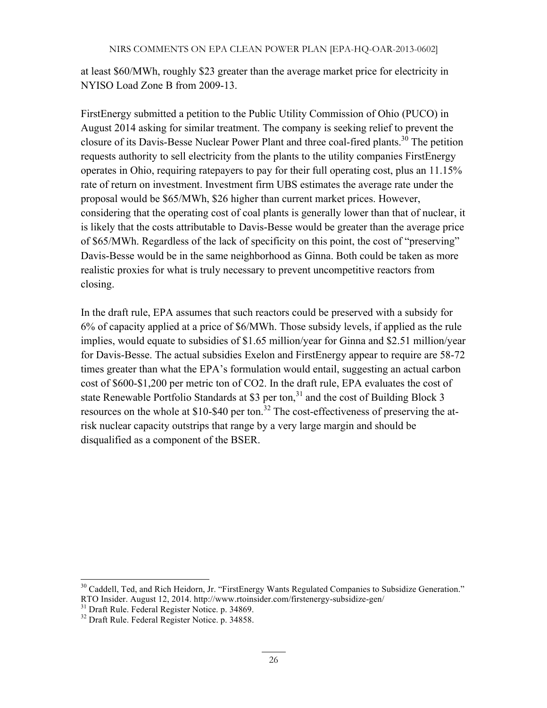at least \$60/MWh, roughly \$23 greater than the average market price for electricity in NYISO Load Zone B from 2009-13.

FirstEnergy submitted a petition to the Public Utility Commission of Ohio (PUCO) in August 2014 asking for similar treatment. The company is seeking relief to prevent the closure of its Davis-Besse Nuclear Power Plant and three coal-fired plants.<sup>30</sup> The petition requests authority to sell electricity from the plants to the utility companies FirstEnergy operates in Ohio, requiring ratepayers to pay for their full operating cost, plus an 11.15% rate of return on investment. Investment firm UBS estimates the average rate under the proposal would be \$65/MWh, \$26 higher than current market prices. However, considering that the operating cost of coal plants is generally lower than that of nuclear, it is likely that the costs attributable to Davis-Besse would be greater than the average price of \$65/MWh. Regardless of the lack of specificity on this point, the cost of "preserving" Davis-Besse would be in the same neighborhood as Ginna. Both could be taken as more realistic proxies for what is truly necessary to prevent uncompetitive reactors from closing.

In the draft rule, EPA assumes that such reactors could be preserved with a subsidy for 6% of capacity applied at a price of \$6/MWh. Those subsidy levels, if applied as the rule implies, would equate to subsidies of \$1.65 million/year for Ginna and \$2.51 million/year for Davis-Besse. The actual subsidies Exelon and FirstEnergy appear to require are 58-72 times greater than what the EPA's formulation would entail, suggesting an actual carbon cost of \$600-\$1,200 per metric ton of CO2. In the draft rule, EPA evaluates the cost of state Renewable Portfolio Standards at \$3 per ton, $31$  and the cost of Building Block 3 resources on the whole at \$10-\$40 per ton.<sup>32</sup> The cost-effectiveness of preserving the atrisk nuclear capacity outstrips that range by a very large margin and should be disqualified as a component of the BSER.

<sup>&</sup>lt;sup>30</sup> Caddell, Ted, and Rich Heidorn, Jr. "FirstEnergy Wants Regulated Companies to Subsidize Generation." RTO Insider. August 12, 2014. http://www.rtoinsider.com/firstenergy-subsidize-gen/<br><sup>31</sup> Draft Rule. Federal Register Notice. p. 34869.<br><sup>32</sup> Draft Rule. Federal Register Notice. p. 34858.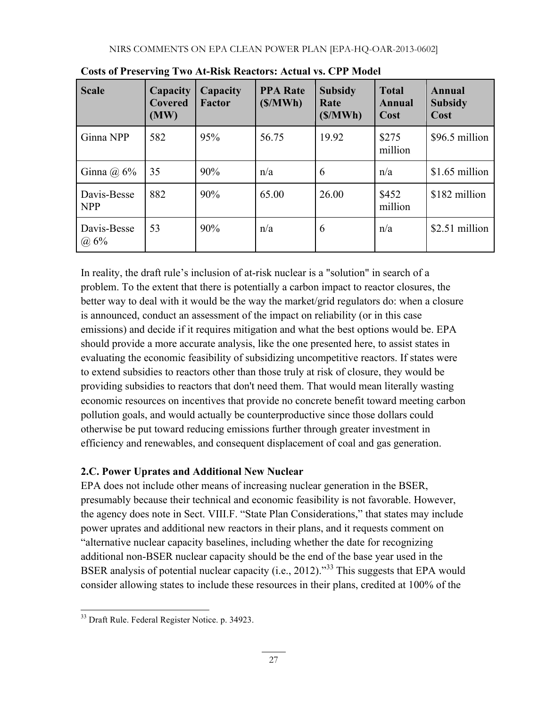| <b>Scale</b>              | Capacity<br>Covered<br>(MW) | Capacity<br><b>Factor</b> | <b>PPA Rate</b><br>(S/MWh) | <b>Subsidy</b><br>Rate<br>(S/MWh) | <b>Total</b><br><b>Annual</b><br>Cost | Annual<br><b>Subsidy</b><br>Cost |
|---------------------------|-----------------------------|---------------------------|----------------------------|-----------------------------------|---------------------------------------|----------------------------------|
| Ginna NPP                 | 582                         | 95%                       | 56.75                      | 19.92                             | \$275<br>million                      | \$96.5 million                   |
| Ginna $(a)$ 6%            | 35                          | 90%                       | n/a                        | 6                                 | n/a                                   | \$1.65 million                   |
| Davis-Besse<br><b>NPP</b> | 882                         | 90%                       | 65.00                      | 26.00                             | \$452<br>million                      | \$182 million                    |
| Davis-Besse<br>@6%        | 53                          | 90%                       | n/a                        | 6                                 | n/a                                   | \$2.51 million                   |

**Costs of Preserving Two At-Risk Reactors: Actual vs. CPP Model**

In reality, the draft rule's inclusion of at-risk nuclear is a "solution" in search of a problem. To the extent that there is potentially a carbon impact to reactor closures, the better way to deal with it would be the way the market/grid regulators do: when a closure is announced, conduct an assessment of the impact on reliability (or in this case emissions) and decide if it requires mitigation and what the best options would be. EPA should provide a more accurate analysis, like the one presented here, to assist states in evaluating the economic feasibility of subsidizing uncompetitive reactors. If states were to extend subsidies to reactors other than those truly at risk of closure, they would be providing subsidies to reactors that don't need them. That would mean literally wasting economic resources on incentives that provide no concrete benefit toward meeting carbon pollution goals, and would actually be counterproductive since those dollars could otherwise be put toward reducing emissions further through greater investment in efficiency and renewables, and consequent displacement of coal and gas generation.

# **2.C. Power Uprates and Additional New Nuclear**

EPA does not include other means of increasing nuclear generation in the BSER, presumably because their technical and economic feasibility is not favorable. However, the agency does note in Sect. VIII.F. "State Plan Considerations," that states may include power uprates and additional new reactors in their plans, and it requests comment on "alternative nuclear capacity baselines, including whether the date for recognizing additional non-BSER nuclear capacity should be the end of the base year used in the BSER analysis of potential nuclear capacity (i.e., 2012)."<sup>33</sup> This suggests that EPA would consider allowing states to include these resources in their plans, credited at 100% of the

<sup>33</sup> Draft Rule. Federal Register Notice. p. 34923.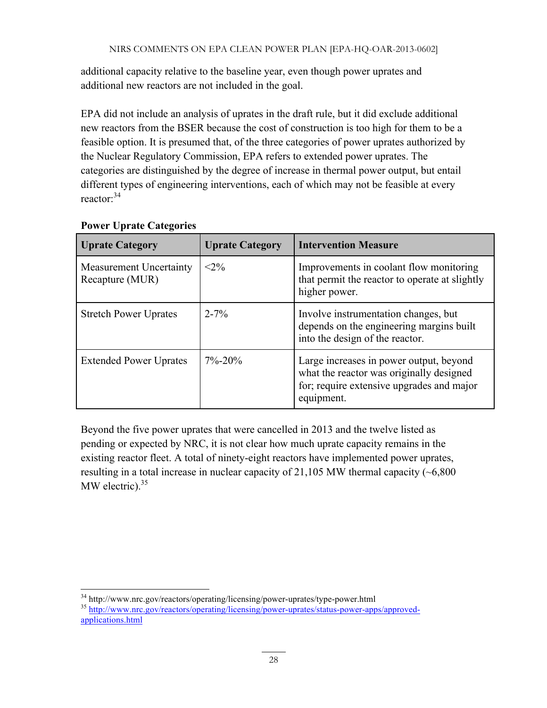additional capacity relative to the baseline year, even though power uprates and additional new reactors are not included in the goal.

EPA did not include an analysis of uprates in the draft rule, but it did exclude additional new reactors from the BSER because the cost of construction is too high for them to be a feasible option. It is presumed that, of the three categories of power uprates authorized by the Nuclear Regulatory Commission, EPA refers to extended power uprates. The categories are distinguished by the degree of increase in thermal power output, but entail different types of engineering interventions, each of which may not be feasible at every reactor: 34

| <b>Uprate Category</b>                            | <b>Uprate Category</b> | <b>Intervention Measure</b>                                                                                                                    |
|---------------------------------------------------|------------------------|------------------------------------------------------------------------------------------------------------------------------------------------|
| <b>Measurement Uncertainty</b><br>Recapture (MUR) | $<2\%$                 | Improvements in coolant flow monitoring<br>that permit the reactor to operate at slightly<br>higher power.                                     |
| <b>Stretch Power Uprates</b>                      | $2 - 7\%$              | Involve instrumentation changes, but<br>depends on the engineering margins built<br>into the design of the reactor.                            |
| <b>Extended Power Uprates</b>                     | $7\% - 20\%$           | Large increases in power output, beyond<br>what the reactor was originally designed<br>for; require extensive upgrades and major<br>equipment. |

#### **Power Uprate Categories**

Beyond the five power uprates that were cancelled in 2013 and the twelve listed as pending or expected by NRC, it is not clear how much uprate capacity remains in the existing reactor fleet. A total of ninety-eight reactors have implemented power uprates, resulting in a total increase in nuclear capacity of  $21,105$  MW thermal capacity ( $\sim 6,800$ ) MW electric). $35$ 

<sup>&</sup>lt;sup>34</sup> http://www.nrc.gov/reactors/operating/licensing/power-uprates/type-power.html<br><sup>35</sup> http://www.nrc.gov/reactors/operating/licensing/power-uprates/status-power-apps/approvedapplications.html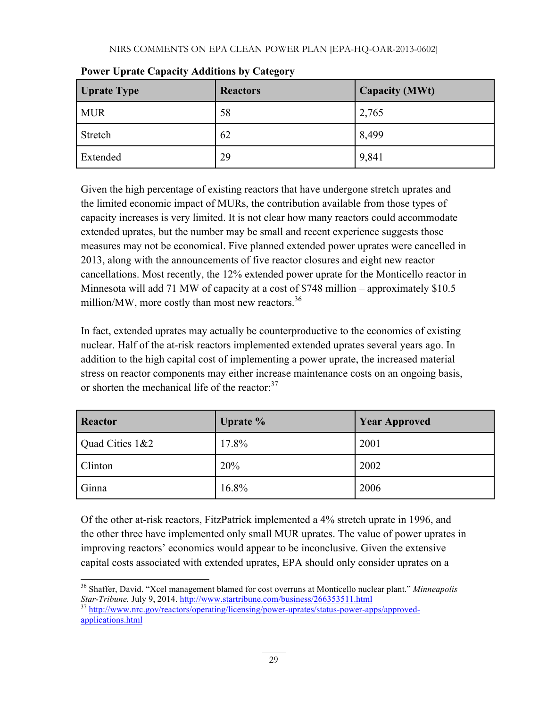| <b>Uprate Type</b> | <b>Reactors</b> | <b>Capacity (MWt)</b> |
|--------------------|-----------------|-----------------------|
| <b>MUR</b>         | 58              | 2,765                 |
| Stretch            | 62              | 8,499                 |
| Extended           | 29              | 9,841                 |

**Power Uprate Capacity Additions by Category**

Given the high percentage of existing reactors that have undergone stretch uprates and the limited economic impact of MURs, the contribution available from those types of capacity increases is very limited. It is not clear how many reactors could accommodate extended uprates, but the number may be small and recent experience suggests those measures may not be economical. Five planned extended power uprates were cancelled in 2013, along with the announcements of five reactor closures and eight new reactor cancellations. Most recently, the 12% extended power uprate for the Monticello reactor in Minnesota will add 71 MW of capacity at a cost of \$748 million – approximately \$10.5 million/MW, more costly than most new reactors.<sup>36</sup>

In fact, extended uprates may actually be counterproductive to the economics of existing nuclear. Half of the at-risk reactors implemented extended uprates several years ago. In addition to the high capital cost of implementing a power uprate, the increased material stress on reactor components may either increase maintenance costs on an ongoing basis, or shorten the mechanical life of the reactor:<sup>37</sup>

| <b>Reactor</b>  | Uprate % | <b>Year Approved</b> |
|-----------------|----------|----------------------|
| Quad Cities 1&2 | 17.8%    | 2001                 |
| <b>Clinton</b>  | 20%      | 2002                 |
| Ginna           | $16.8\%$ | 2006                 |

Of the other at-risk reactors, FitzPatrick implemented a 4% stretch uprate in 1996, and the other three have implemented only small MUR uprates. The value of power uprates in improving reactors' economics would appear to be inconclusive. Given the extensive capital costs associated with extended uprates, EPA should only consider uprates on a

<sup>36</sup> Shaffer, David. "Xcel management blamed for cost overruns at Monticello nuclear plant." *Minneapolis Star-Tribune.* July 9, 2014. http://www.startribune.com/business/266353511.html <sup>37</sup> http://www.nrc.gov/reactors/operating/licensing/power-uprates/status-power-apps/approved-

applications.html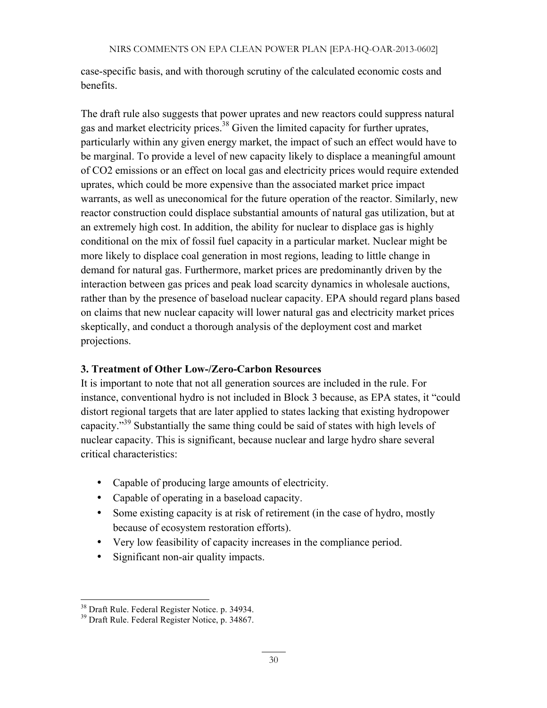case-specific basis, and with thorough scrutiny of the calculated economic costs and benefits.

The draft rule also suggests that power uprates and new reactors could suppress natural gas and market electricity prices.<sup>38</sup> Given the limited capacity for further uprates, particularly within any given energy market, the impact of such an effect would have to be marginal. To provide a level of new capacity likely to displace a meaningful amount of CO2 emissions or an effect on local gas and electricity prices would require extended uprates, which could be more expensive than the associated market price impact warrants, as well as uneconomical for the future operation of the reactor. Similarly, new reactor construction could displace substantial amounts of natural gas utilization, but at an extremely high cost. In addition, the ability for nuclear to displace gas is highly conditional on the mix of fossil fuel capacity in a particular market. Nuclear might be more likely to displace coal generation in most regions, leading to little change in demand for natural gas. Furthermore, market prices are predominantly driven by the interaction between gas prices and peak load scarcity dynamics in wholesale auctions, rather than by the presence of baseload nuclear capacity. EPA should regard plans based on claims that new nuclear capacity will lower natural gas and electricity market prices skeptically, and conduct a thorough analysis of the deployment cost and market projections.

#### **3. Treatment of Other Low-/Zero-Carbon Resources**

It is important to note that not all generation sources are included in the rule. For instance, conventional hydro is not included in Block 3 because, as EPA states, it "could distort regional targets that are later applied to states lacking that existing hydropower capacity."39 Substantially the same thing could be said of states with high levels of nuclear capacity. This is significant, because nuclear and large hydro share several critical characteristics:

- Capable of producing large amounts of electricity.
- Capable of operating in a baseload capacity.
- Some existing capacity is at risk of retirement (in the case of hydro, mostly because of ecosystem restoration efforts).
- Very low feasibility of capacity increases in the compliance period.
- Significant non-air quality impacts.

<sup>&</sup>lt;sup>38</sup> Draft Rule. Federal Register Notice. p. 34934.<br><sup>39</sup> Draft Rule. Federal Register Notice, p. 34867.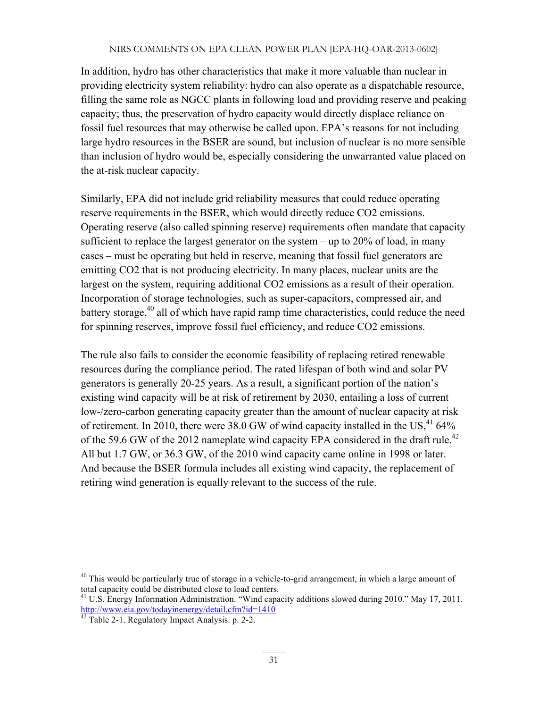In addition, hydro has other characteristics that make it more valuable than nuclear in providing electricity system reliability: hydro can also operate as a dispatchable resource, filling the same role as NGCC plants in following load and providing reserve and peaking capacity; thus, the preservation of hydro capacity would directly displace reliance on fossil fuel resources that may otherwise be called upon. EPA's reasons for not including large hydro resources in the BSER are sound, but inclusion of nuclear is no more sensible than inclusion of hydro would be, especially considering the unwarranted value placed on the at-risk nuclear capacity.

Similarly, EPA did not include grid reliability measures that could reduce operating reserve requirements in the BSER, which would directly reduce CO2 emissions. Operating reserve (also called spinning reserve) requirements often mandate that capacity sufficient to replace the largest generator on the system  $-$  up to 20% of load, in many cases – must be operating but held in reserve, meaning that fossil fuel generators are emitting CO2 that is not producing electricity. In many places, nuclear units are the largest on the system, requiring additional CO2 emissions as a result of their operation. Incorporation of storage technologies, such as super-capacitors, compressed air, and battery storage, $40$  all of which have rapid ramp time characteristics, could reduce the need for spinning reserves, improve fossil fuel efficiency, and reduce CO2 emissions.

The rule also fails to consider the economic feasibility of replacing retired renewable resources during the compliance period. The rated lifespan of both wind and solar PV generators is generally 20-25 years. As a result, a significant portion of the nation's existing wind capacity will be at risk of retirement by 2030, entailing a loss of current low-/zero-carbon generating capacity greater than the amount of nuclear capacity at risk of retirement. In 2010, there were 38.0 GW of wind capacity installed in the US, $41/64\%$ of the 59.6 GW of the 2012 nameplate wind capacity EPA considered in the draft rule.<sup>42</sup> All but 1.7 GW, or 36.3 GW, of the 2010 wind capacity came online in 1998 or later. And because the BSER formula includes all existing wind capacity, the replacement of retiring wind generation is equally relevant to the success of the rule.

<sup>&</sup>lt;sup>40</sup> This would be particularly true of storage in a vehicle-to-grid arrangement, in which a large amount of total capacity could be distributed close to load centers.

<sup>&</sup>lt;sup>41</sup> U.S. Energy Information Administration. "Wind capacity additions slowed during 2010." May 17, 2011. http://www.eia.gov/todayinenergy/detail.cfm?id=1410

<sup>&</sup>lt;sup>42</sup> Table 2-1. Regulatory Impact Analysis. p. 2-2.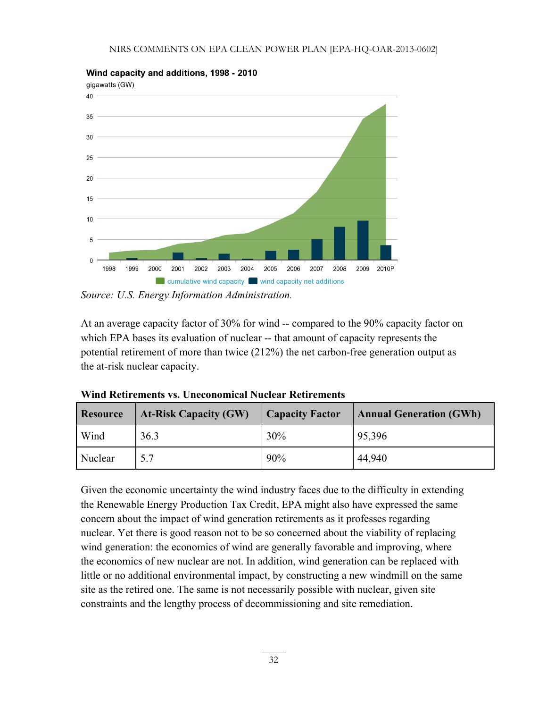

Wind capacity and additions, 1998 - 2010

*Source: U.S. Energy Information Administration.*

At an average capacity factor of 30% for wind -- compared to the 90% capacity factor on which EPA bases its evaluation of nuclear -- that amount of capacity represents the potential retirement of more than twice (212%) the net carbon-free generation output as the at-risk nuclear capacity.

| <b>Resource</b> | <b>At-Risk Capacity (GW)</b> | <b>Capacity Factor</b> | <b>Annual Generation (GWh)</b> |
|-----------------|------------------------------|------------------------|--------------------------------|
| Wind            | 36.3                         | 30%                    | 95,396                         |
| Nuclear         | 5.7                          | 90%                    | 44,940                         |

**Wind Retirements vs. Uneconomical Nuclear Retirements**

Given the economic uncertainty the wind industry faces due to the difficulty in extending the Renewable Energy Production Tax Credit, EPA might also have expressed the same concern about the impact of wind generation retirements as it professes regarding nuclear. Yet there is good reason not to be so concerned about the viability of replacing wind generation: the economics of wind are generally favorable and improving, where the economics of new nuclear are not. In addition, wind generation can be replaced with little or no additional environmental impact, by constructing a new windmill on the same site as the retired one. The same is not necessarily possible with nuclear, given site constraints and the lengthy process of decommissioning and site remediation.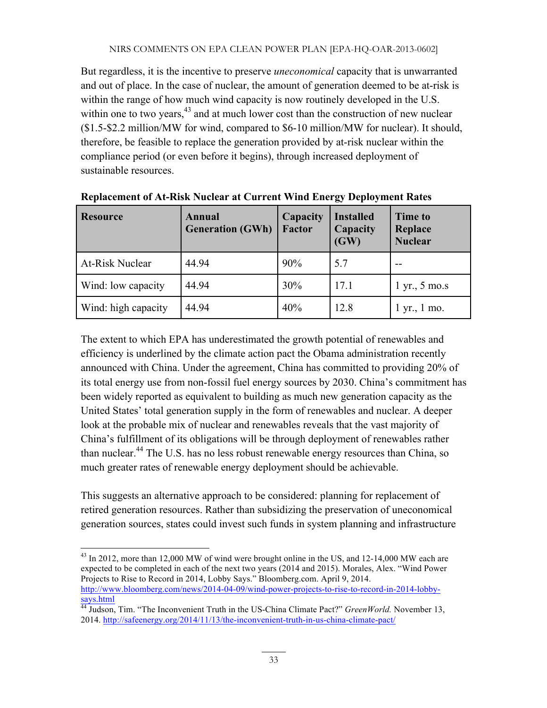But regardless, it is the incentive to preserve *uneconomical* capacity that is unwarranted and out of place. In the case of nuclear, the amount of generation deemed to be at-risk is within the range of how much wind capacity is now routinely developed in the U.S. within one to two years, $43$  and at much lower cost than the construction of new nuclear (\$1.5-\$2.2 million/MW for wind, compared to \$6-10 million/MW for nuclear). It should, therefore, be feasible to replace the generation provided by at-risk nuclear within the compliance period (or even before it begins), through increased deployment of sustainable resources.

| <b>Resource</b>        | <b>Annual</b><br><b>Generation (GWh)</b> | Capacity<br><b>Factor</b> | <b>Installed</b><br>Capacity<br>(GW) | <b>Time to</b><br>Replace<br><b>Nuclear</b> |
|------------------------|------------------------------------------|---------------------------|--------------------------------------|---------------------------------------------|
| <b>At-Risk Nuclear</b> | 44.94                                    | 90%                       | 5.7                                  |                                             |
| Wind: low capacity     | 44.94                                    | 30%                       | 17.1                                 | $1 \, \text{yr}$ , $5 \, \text{mo.s}$       |
| Wind: high capacity    | 44.94                                    | 40%                       | 12.8                                 | $1 \text{ yr}$ ., $1 \text{ mo}$ .          |

**Replacement of At-Risk Nuclear at Current Wind Energy Deployment Rates**

The extent to which EPA has underestimated the growth potential of renewables and efficiency is underlined by the climate action pact the Obama administration recently announced with China. Under the agreement, China has committed to providing 20% of its total energy use from non-fossil fuel energy sources by 2030. China's commitment has been widely reported as equivalent to building as much new generation capacity as the United States' total generation supply in the form of renewables and nuclear. A deeper look at the probable mix of nuclear and renewables reveals that the vast majority of China's fulfillment of its obligations will be through deployment of renewables rather than nuclear.<sup>44</sup> The U.S. has no less robust renewable energy resources than China, so much greater rates of renewable energy deployment should be achievable.

This suggests an alternative approach to be considered: planning for replacement of retired generation resources. Rather than subsidizing the preservation of uneconomical generation sources, states could invest such funds in system planning and infrastructure

<sup>&</sup>lt;sup>43</sup> In 2012, more than 12,000 MW of wind were brought online in the US, and 12-14,000 MW each are expected to be completed in each of the next two years (2014 and 2015). Morales, Alex. "Wind Power Projects to Rise to Record in 2014, Lobby Says." Bloomberg.com. April 9, 2014. http://www.bloomberg.com/news/2014-04-09/wind-power-projects-to-rise-to-record-in-2014-lobbysays.html

<sup>&</sup>lt;sup>44</sup> Judson, Tim. "The Inconvenient Truth in the US-China Climate Pact?" *GreenWorld*. November 13, 2014. http://safeenergy.org/2014/11/13/the-inconvenient-truth-in-us-china-climate-pact/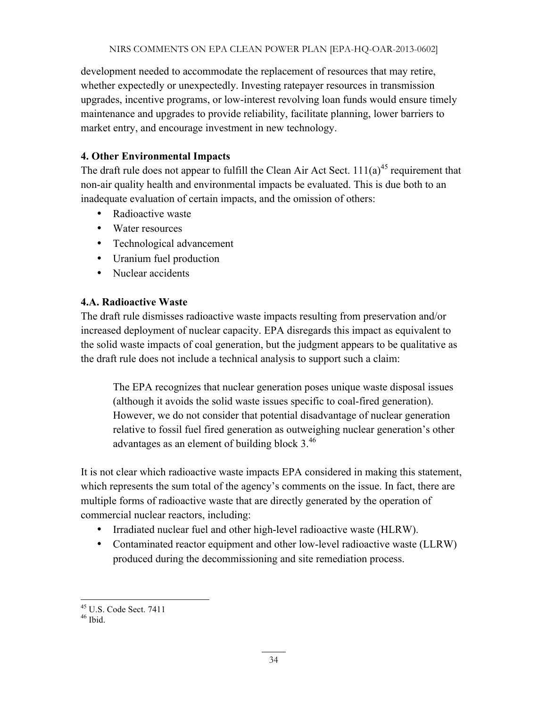development needed to accommodate the replacement of resources that may retire, whether expectedly or unexpectedly. Investing ratepayer resources in transmission upgrades, incentive programs, or low-interest revolving loan funds would ensure timely maintenance and upgrades to provide reliability, facilitate planning, lower barriers to market entry, and encourage investment in new technology.

# **4. Other Environmental Impacts**

The draft rule does not appear to fulfill the Clean Air Act Sect.  $111(a)^{45}$  requirement that non-air quality health and environmental impacts be evaluated. This is due both to an inadequate evaluation of certain impacts, and the omission of others:

- Radioactive waste
- Water resources
- Technological advancement
- Uranium fuel production
- Nuclear accidents

#### **4.A. Radioactive Waste**

The draft rule dismisses radioactive waste impacts resulting from preservation and/or increased deployment of nuclear capacity. EPA disregards this impact as equivalent to the solid waste impacts of coal generation, but the judgment appears to be qualitative as the draft rule does not include a technical analysis to support such a claim:

The EPA recognizes that nuclear generation poses unique waste disposal issues (although it avoids the solid waste issues specific to coal-fired generation). However, we do not consider that potential disadvantage of nuclear generation relative to fossil fuel fired generation as outweighing nuclear generation's other advantages as an element of building block 3.<sup>46</sup>

It is not clear which radioactive waste impacts EPA considered in making this statement, which represents the sum total of the agency's comments on the issue. In fact, there are multiple forms of radioactive waste that are directly generated by the operation of commercial nuclear reactors, including:

- Irradiated nuclear fuel and other high-level radioactive waste (HLRW).
- Contaminated reactor equipment and other low-level radioactive waste (LLRW) produced during the decommissioning and site remediation process.

 $^{45}$  U.S. Code Sect. 7411<br> $^{46}$  Ibid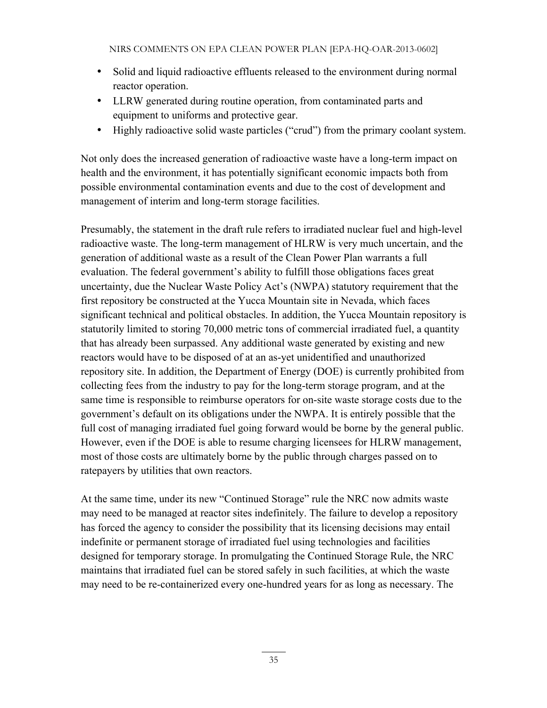- Solid and liquid radioactive effluents released to the environment during normal reactor operation.
- LLRW generated during routine operation, from contaminated parts and equipment to uniforms and protective gear.
- Highly radioactive solid waste particles ("crud") from the primary coolant system.

Not only does the increased generation of radioactive waste have a long-term impact on health and the environment, it has potentially significant economic impacts both from possible environmental contamination events and due to the cost of development and management of interim and long-term storage facilities.

Presumably, the statement in the draft rule refers to irradiated nuclear fuel and high-level radioactive waste. The long-term management of HLRW is very much uncertain, and the generation of additional waste as a result of the Clean Power Plan warrants a full evaluation. The federal government's ability to fulfill those obligations faces great uncertainty, due the Nuclear Waste Policy Act's (NWPA) statutory requirement that the first repository be constructed at the Yucca Mountain site in Nevada, which faces significant technical and political obstacles. In addition, the Yucca Mountain repository is statutorily limited to storing 70,000 metric tons of commercial irradiated fuel, a quantity that has already been surpassed. Any additional waste generated by existing and new reactors would have to be disposed of at an as-yet unidentified and unauthorized repository site. In addition, the Department of Energy (DOE) is currently prohibited from collecting fees from the industry to pay for the long-term storage program, and at the same time is responsible to reimburse operators for on-site waste storage costs due to the government's default on its obligations under the NWPA. It is entirely possible that the full cost of managing irradiated fuel going forward would be borne by the general public. However, even if the DOE is able to resume charging licensees for HLRW management, most of those costs are ultimately borne by the public through charges passed on to ratepayers by utilities that own reactors.

At the same time, under its new "Continued Storage" rule the NRC now admits waste may need to be managed at reactor sites indefinitely. The failure to develop a repository has forced the agency to consider the possibility that its licensing decisions may entail indefinite or permanent storage of irradiated fuel using technologies and facilities designed for temporary storage. In promulgating the Continued Storage Rule, the NRC maintains that irradiated fuel can be stored safely in such facilities, at which the waste may need to be re-containerized every one-hundred years for as long as necessary. The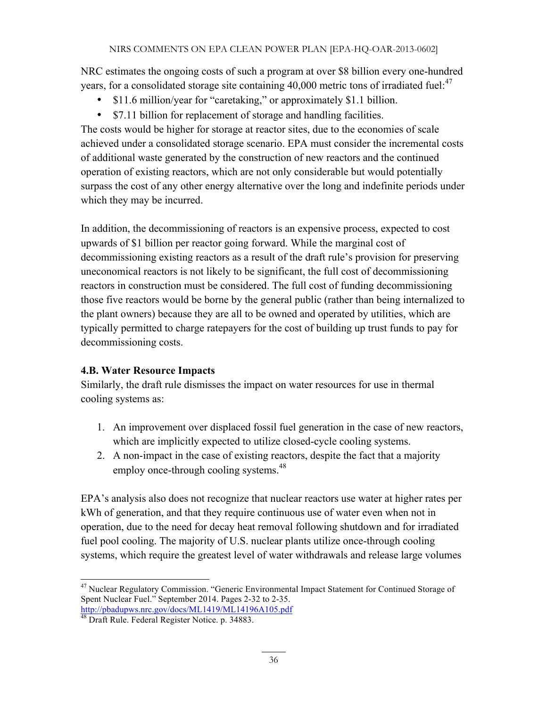NRC estimates the ongoing costs of such a program at over \$8 billion every one-hundred years, for a consolidated storage site containing 40,000 metric tons of irradiated fuel:<sup>47</sup>

- \$11.6 million/year for "caretaking," or approximately \$1.1 billion.
- \$7.11 billion for replacement of storage and handling facilities.

The costs would be higher for storage at reactor sites, due to the economies of scale achieved under a consolidated storage scenario. EPA must consider the incremental costs of additional waste generated by the construction of new reactors and the continued operation of existing reactors, which are not only considerable but would potentially surpass the cost of any other energy alternative over the long and indefinite periods under which they may be incurred.

In addition, the decommissioning of reactors is an expensive process, expected to cost upwards of \$1 billion per reactor going forward. While the marginal cost of decommissioning existing reactors as a result of the draft rule's provision for preserving uneconomical reactors is not likely to be significant, the full cost of decommissioning reactors in construction must be considered. The full cost of funding decommissioning those five reactors would be borne by the general public (rather than being internalized to the plant owners) because they are all to be owned and operated by utilities, which are typically permitted to charge ratepayers for the cost of building up trust funds to pay for decommissioning costs.

#### **4.B. Water Resource Impacts**

Similarly, the draft rule dismisses the impact on water resources for use in thermal cooling systems as:

- 1. An improvement over displaced fossil fuel generation in the case of new reactors, which are implicitly expected to utilize closed-cycle cooling systems.
- 2. A non-impact in the case of existing reactors, despite the fact that a majority employ once-through cooling systems.<sup>48</sup>

EPA's analysis also does not recognize that nuclear reactors use water at higher rates per kWh of generation, and that they require continuous use of water even when not in operation, due to the need for decay heat removal following shutdown and for irradiated fuel pool cooling. The majority of U.S. nuclear plants utilize once-through cooling systems, which require the greatest level of water withdrawals and release large volumes

<sup>&</sup>lt;sup>47</sup> Nuclear Regulatory Commission. "Generic Environmental Impact Statement for Continued Storage of Spent Nuclear Fuel." September 2014. Pages 2-32 to 2-35.

http://pbadupws.nrc.gov/docs/ML1419/ML14196A105.pdf <sup>48</sup> Draft Rule. Federal Register Notice. p. 34883.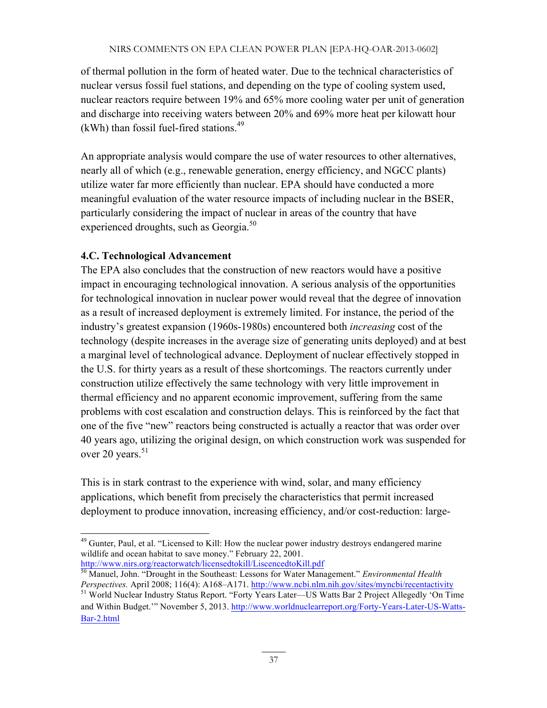of thermal pollution in the form of heated water. Due to the technical characteristics of nuclear versus fossil fuel stations, and depending on the type of cooling system used, nuclear reactors require between 19% and 65% more cooling water per unit of generation and discharge into receiving waters between 20% and 69% more heat per kilowatt hour  $(kWh)$  than fossil fuel-fired stations.<sup>49</sup>

An appropriate analysis would compare the use of water resources to other alternatives, nearly all of which (e.g., renewable generation, energy efficiency, and NGCC plants) utilize water far more efficiently than nuclear. EPA should have conducted a more meaningful evaluation of the water resource impacts of including nuclear in the BSER, particularly considering the impact of nuclear in areas of the country that have experienced droughts, such as Georgia. $50$ 

# **4.C. Technological Advancement**

The EPA also concludes that the construction of new reactors would have a positive impact in encouraging technological innovation. A serious analysis of the opportunities for technological innovation in nuclear power would reveal that the degree of innovation as a result of increased deployment is extremely limited. For instance, the period of the industry's greatest expansion (1960s-1980s) encountered both *increasing* cost of the technology (despite increases in the average size of generating units deployed) and at best a marginal level of technological advance. Deployment of nuclear effectively stopped in the U.S. for thirty years as a result of these shortcomings. The reactors currently under construction utilize effectively the same technology with very little improvement in thermal efficiency and no apparent economic improvement, suffering from the same problems with cost escalation and construction delays. This is reinforced by the fact that one of the five "new" reactors being constructed is actually a reactor that was order over 40 years ago, utilizing the original design, on which construction work was suspended for over 20 years. $51$ 

This is in stark contrast to the experience with wind, solar, and many efficiency applications, which benefit from precisely the characteristics that permit increased deployment to produce innovation, increasing efficiency, and/or cost-reduction: large-

<sup>&</sup>lt;sup>49</sup> Gunter, Paul, et al. "Licensed to Kill: How the nuclear power industry destroys endangered marine wildlife and ocean habitat to save money." February 22, 2001. http://www.nirs.org/reactorwatch/licensedtokill/LiscencedtoKill.pdf

<sup>50</sup> Manuel, John. "Drought in the Southeast: Lessons for Water Management." *Environmental Health Perspectives.* April 2008; 116(4): A168–A171. http://www.ncbi.nlm.nih.gov/sites/myncbi/recentactivity

<sup>&</sup>lt;sup>51</sup> World Nuclear Industry Status Report. "Forty Years Later—US Watts Bar 2 Project Allegedly 'On Time and Within Budget.'" November 5, 2013. http://www.worldnuclearreport.org/Forty-Years-Later-US-Watts-Bar-2.html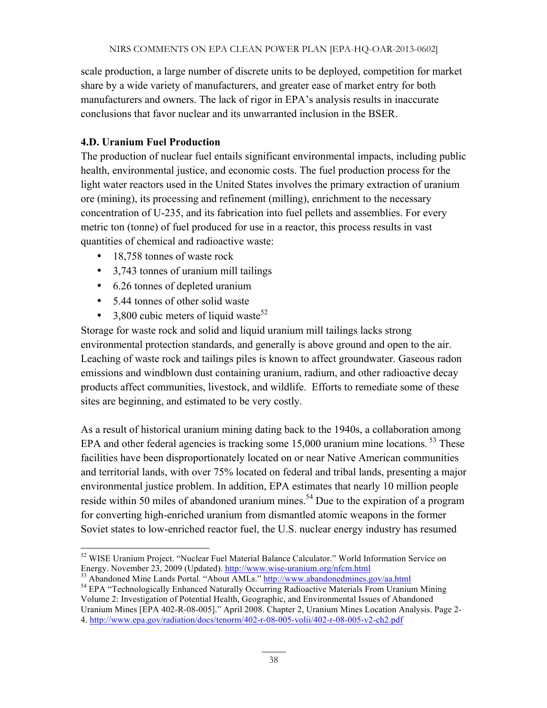scale production, a large number of discrete units to be deployed, competition for market share by a wide variety of manufacturers, and greater ease of market entry for both manufacturers and owners. The lack of rigor in EPA's analysis results in inaccurate conclusions that favor nuclear and its unwarranted inclusion in the BSER.

#### **4.D. Uranium Fuel Production**

The production of nuclear fuel entails significant environmental impacts, including public health, environmental justice, and economic costs. The fuel production process for the light water reactors used in the United States involves the primary extraction of uranium ore (mining), its processing and refinement (milling), enrichment to the necessary concentration of U-235, and its fabrication into fuel pellets and assemblies. For every metric ton (tonne) of fuel produced for use in a reactor, this process results in vast quantities of chemical and radioactive waste:

- 18,758 tonnes of waste rock
- 3,743 tonnes of uranium mill tailings
- 6.26 tonnes of depleted uranium
- 5.44 tonnes of other solid waste
- 3,800 cubic meters of liquid waste<sup>52</sup>

Storage for waste rock and solid and liquid uranium mill tailings lacks strong environmental protection standards, and generally is above ground and open to the air. Leaching of waste rock and tailings piles is known to affect groundwater. Gaseous radon emissions and windblown dust containing uranium, radium, and other radioactive decay products affect communities, livestock, and wildlife. Efforts to remediate some of these sites are beginning, and estimated to be very costly.

As a result of historical uranium mining dating back to the 1940s, a collaboration among EPA and other federal agencies is tracking some 15,000 uranium mine locations.<sup>53</sup> These facilities have been disproportionately located on or near Native American communities and territorial lands, with over 75% located on federal and tribal lands, presenting a major environmental justice problem. In addition, EPA estimates that nearly 10 million people reside within 50 miles of abandoned uranium mines.<sup>54</sup> Due to the expiration of a program for converting high-enriched uranium from dismantled atomic weapons in the former Soviet states to low-enriched reactor fuel, the U.S. nuclear energy industry has resumed

Volume 2: Investigation of Potential Health, Geographic, and Environmental Issues of Abandoned Uranium Mines [EPA 402-R-08-005]." April 2008. Chapter 2, Uranium Mines Location Analysis. Page 2- 4. http://www.epa.gov/radiation/docs/tenorm/402-r-08-005-volii/402-r-08-005-v2-ch2.pdf

<sup>&</sup>lt;sup>52</sup> WISE Uranium Project. "Nuclear Fuel Material Balance Calculator." World Information Service on Energy. November 23, 2009 (Updated). http://www.wise-uranium.org/nfcm.html

 $^{53}$  Abandoned Mine Lands Portal. "About AMLs." http://www.abandonedmines.gov/aa.html<br><sup>54</sup> EPA "Technologically Enhanced Naturally Occurring Radioactive Materials From Uranium Mining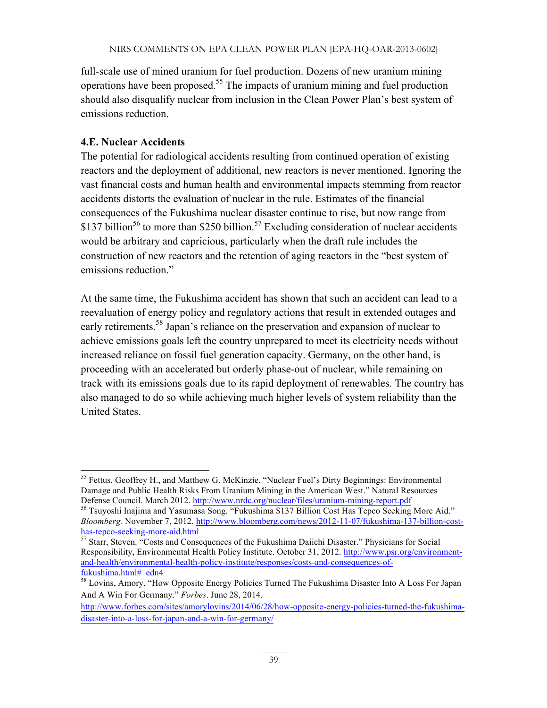full-scale use of mined uranium for fuel production. Dozens of new uranium mining operations have been proposed.55 The impacts of uranium mining and fuel production should also disqualify nuclear from inclusion in the Clean Power Plan's best system of emissions reduction.

#### **4.E. Nuclear Accidents**

The potential for radiological accidents resulting from continued operation of existing reactors and the deployment of additional, new reactors is never mentioned. Ignoring the vast financial costs and human health and environmental impacts stemming from reactor accidents distorts the evaluation of nuclear in the rule. Estimates of the financial consequences of the Fukushima nuclear disaster continue to rise, but now range from \$137 billion<sup>56</sup> to more than \$250 billion.<sup>57</sup> Excluding consideration of nuclear accidents would be arbitrary and capricious, particularly when the draft rule includes the construction of new reactors and the retention of aging reactors in the "best system of emissions reduction."

At the same time, the Fukushima accident has shown that such an accident can lead to a reevaluation of energy policy and regulatory actions that result in extended outages and early retirements.<sup>58</sup> Japan's reliance on the preservation and expansion of nuclear to achieve emissions goals left the country unprepared to meet its electricity needs without increased reliance on fossil fuel generation capacity. Germany, on the other hand, is proceeding with an accelerated but orderly phase-out of nuclear, while remaining on track with its emissions goals due to its rapid deployment of renewables. The country has also managed to do so while achieving much higher levels of system reliability than the United States.

<sup>&</sup>lt;sup>55</sup> Fettus, Geoffrey H., and Matthew G. McKinzie. "Nuclear Fuel's Dirty Beginnings: Environmental Damage and Public Health Risks From Uranium Mining in the American West." Natural Resources Defense Council. March 2012. http://www.nrdc.org/nuclear/files/uranium-mining-report.pdf<br><sup>56</sup> Tsuyoshi Inajima and Yasumasa Song. "Fukushima \$137 Billion Cost Has Tepco Seeking More Aid."

*Bloomberg.* November 7, 2012. http://www.bloomberg.com/news/2012-11-07/fukushima-137-billion-costhas-tepco-seeking-more-aid.html<br>
<sup>57</sup> Starr, Steven. "Costs and Consequences of the Fukushima Daiichi Disaster." Physicians for Social

Responsibility, Environmental Health Policy Institute. October 31, 2012. http://www.psr.org/environmentand-health/environmental-health-policy-institute/responses/costs-and-consequences-offukushima.html#\_edn4

<sup>&</sup>lt;sup>58</sup> Lovins, Amory. "How Opposite Energy Policies Turned The Fukushima Disaster Into A Loss For Japan And A Win For Germany." *Forbes*. June 28, 2014.

http://www.forbes.com/sites/amorylovins/2014/06/28/how-opposite-energy-policies-turned-the-fukushimadisaster-into-a-loss-for-japan-and-a-win-for-germany/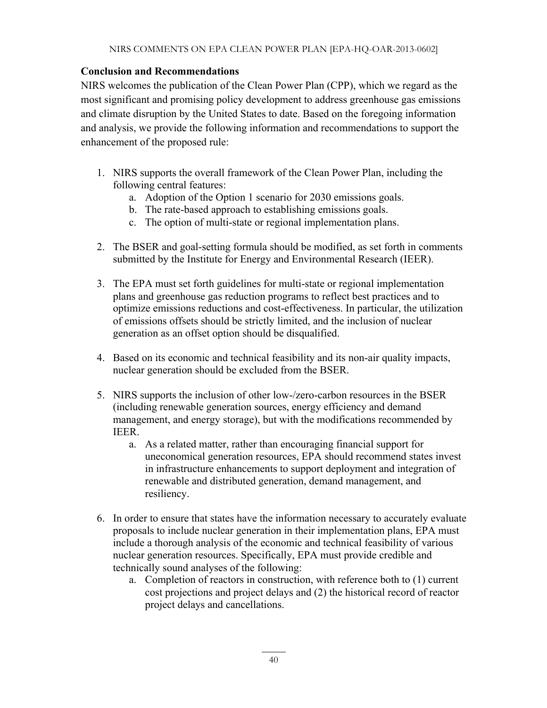#### **Conclusion and Recommendations**

NIRS welcomes the publication of the Clean Power Plan (CPP), which we regard as the most significant and promising policy development to address greenhouse gas emissions and climate disruption by the United States to date. Based on the foregoing information and analysis, we provide the following information and recommendations to support the enhancement of the proposed rule:

- 1. NIRS supports the overall framework of the Clean Power Plan, including the following central features:
	- a. Adoption of the Option 1 scenario for 2030 emissions goals.
	- b. The rate-based approach to establishing emissions goals.
	- c. The option of multi-state or regional implementation plans.
- 2. The BSER and goal-setting formula should be modified, as set forth in comments submitted by the Institute for Energy and Environmental Research (IEER).
- 3. The EPA must set forth guidelines for multi-state or regional implementation plans and greenhouse gas reduction programs to reflect best practices and to optimize emissions reductions and cost-effectiveness. In particular, the utilization of emissions offsets should be strictly limited, and the inclusion of nuclear generation as an offset option should be disqualified.
- 4. Based on its economic and technical feasibility and its non-air quality impacts, nuclear generation should be excluded from the BSER.
- 5. NIRS supports the inclusion of other low-/zero-carbon resources in the BSER (including renewable generation sources, energy efficiency and demand management, and energy storage), but with the modifications recommended by IEER.
	- a. As a related matter, rather than encouraging financial support for uneconomical generation resources, EPA should recommend states invest in infrastructure enhancements to support deployment and integration of renewable and distributed generation, demand management, and resiliency.
- 6. In order to ensure that states have the information necessary to accurately evaluate proposals to include nuclear generation in their implementation plans, EPA must include a thorough analysis of the economic and technical feasibility of various nuclear generation resources. Specifically, EPA must provide credible and technically sound analyses of the following:
	- a. Completion of reactors in construction, with reference both to (1) current cost projections and project delays and (2) the historical record of reactor project delays and cancellations.